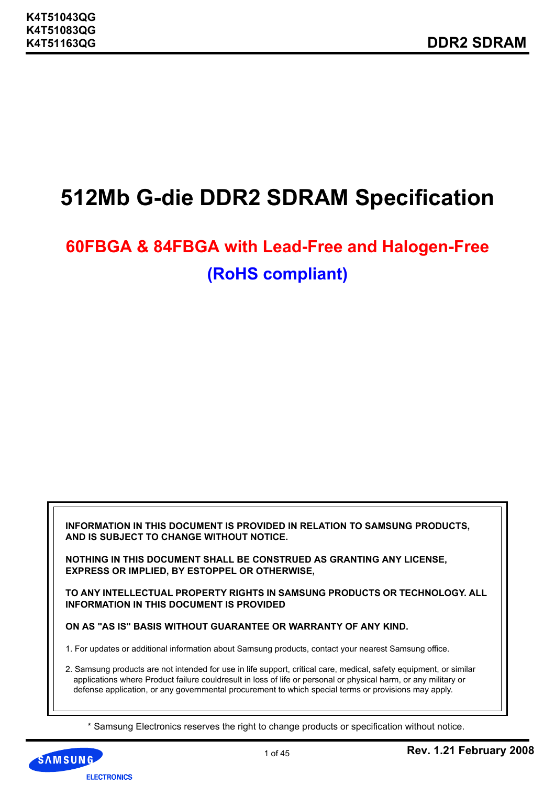# **512Mb G-die DDR2 SDRAM Specification**

# **60FBGA & 84FBGA with Lead-Free and Halogen-Free (RoHS compliant)**

**INFORMATION IN THIS DOCUMENT IS PROVIDED IN RELATION TO SAMSUNG PRODUCTS, AND IS SUBJECT TO CHANGE WITHOUT NOTICE.** 

**NOTHING IN THIS DOCUMENT SHALL BE CONSTRUED AS GRANTING ANY LICENSE, EXPRESS OR IMPLIED, BY ESTOPPEL OR OTHERWISE,**

**TO ANY INTELLECTUAL PROPERTY RIGHTS IN SAMSUNG PRODUCTS OR TECHNOLOGY. ALL INFORMATION IN THIS DOCUMENT IS PROVIDED**

**ON AS "AS IS" BASIS WITHOUT GUARANTEE OR WARRANTY OF ANY KIND.**

1. For updates or additional information about Samsung products, contact your nearest Samsung office.

2. Samsung products are not intended for use in life support, critical care, medical, safety equipment, or similar applications where Product failure couldresult in loss of life or personal or physical harm, or any military or defense application, or any governmental procurement to which special terms or provisions may apply.

\* Samsung Electronics reserves the right to change products or specification without notice.

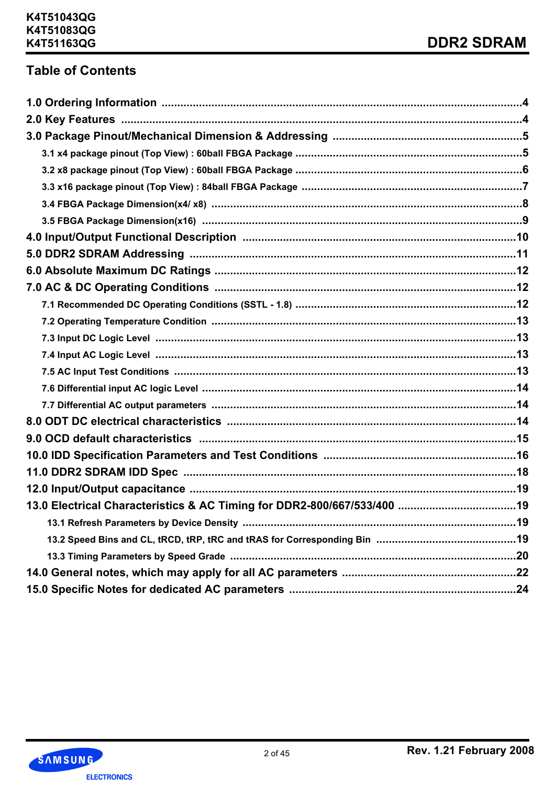# **Table of Contents**

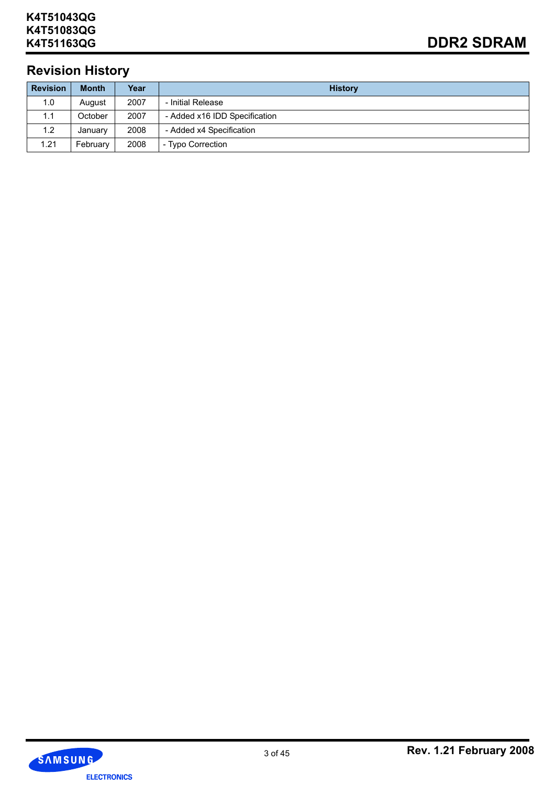# **Revision History**

| <b>Revision</b> | <b>Month</b> | Year | <b>History</b>                |
|-----------------|--------------|------|-------------------------------|
| 1.0             | August       | 2007 | - Initial Release             |
| 1.1             | October      | 2007 | - Added x16 IDD Specification |
| 1.2             | January      | 2008 | - Added x4 Specification      |
| 1.21            | February     | 2008 | - Typo Correction             |

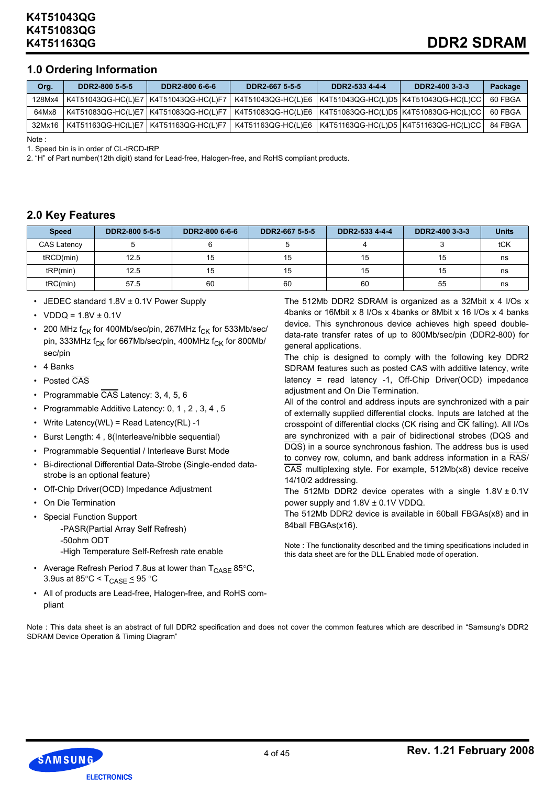# **1.0 Ordering Information**

| Org.   | DDR2-800 5-5-5                          | DDR2-800 6-6-6 | DDR2-667 5-5-5                                               | DDR2-533 4-4-4                          | DDR2-400 3-3-3 | Package |
|--------|-----------------------------------------|----------------|--------------------------------------------------------------|-----------------------------------------|----------------|---------|
| 128Mx4 | K4T51043QG-HC(L)E7   K4T51043QG-HC(L)F7 |                | K4T51043QG-HC(L)E6   K4T51043QG-HC(L)D5   K4T51043QG-HC(L)CC |                                         |                | 60 FBGA |
| 64Mx8  | K4T51083QG-HC(L)E7   K4T51083QG-HC(L)F7 |                |                                                              |                                         |                | 60 FBGA |
| 32Mx16 | K4T51163QG-HC(L)E7   K4T51163QG-HC(L)F7 |                | K4T51163QG-HC(L)E6                                           | K4T51163QG-HC(L)D5   K4T51163QG-HC(L)CC |                | 84 FBGA |

Note :

1. Speed bin is in order of CL-tRCD-tRP

2. "H" of Part number(12th digit) stand for Lead-free, Halogen-free, and RoHS compliant products.

# **2.0 Key Features**

| <b>Speed</b>       | DDR2-800 5-5-5 | DDR2-800 6-6-6 | DDR2-667 5-5-5 | DDR2-533 4-4-4 | DDR2-400 3-3-3 | <b>Units</b> |
|--------------------|----------------|----------------|----------------|----------------|----------------|--------------|
| <b>CAS Latency</b> |                |                |                |                |                | tCK          |
| tRCD(min)          | 12.5           | 15             | 15             | 15             | 15             | ns           |
| tRP(min)           | 12.5           | 15             | 15             | 15             | 15             | ns           |
| tRC(min)           | 57.5           | 60             | 60             | 60             | 55             | ns           |

- JEDEC standard 1.8V ± 0.1V Power Supply
- VDDQ =  $1.8V \pm 0.1V$
- 200 MHz  $f_{CK}$  for 400Mb/sec/pin, 267MHz  $f_{CK}$  for 533Mb/sec/ pin, 333MHz  $f_{CK}$  for 667Mb/sec/pin, 400MHz  $f_{CK}$  for 800Mb/ sec/pin
- 4 Banks
- Posted CAS
- Programmable CAS Latency: 3, 4, 5, 6
- Programmable Additive Latency: 0, 1 , 2 , 3, 4 , 5
- Write Latency(WL) = Read Latency(RL) -1
- Burst Length: 4 , 8(Interleave/nibble sequential)
- Programmable Sequential / Interleave Burst Mode
- Bi-directional Differential Data-Strobe (Single-ended datastrobe is an optional feature)
- Off-Chip Driver(OCD) Impedance Adjustment
- On Die Termination
- Special Function Support
	- -PASR(Partial Array Self Refresh) -50ohm ODT
	- -High Temperature Self-Refresh rate enable
- Average Refresh Period 7.8us at lower than  $T_{CASF}$  85°C, 3.9us at 85 $\degree$ C < T<sub>CASE</sub>  $\leq$  95  $\degree$ C
- All of products are Lead-free, Halogen-free, and RoHS compliant

The 512Mb DDR2 SDRAM is organized as a 32Mbit x 4 I/Os x 4banks or 16Mbit x 8 I/Os x 4banks or 8Mbit x 16 I/Os x 4 banks device. This synchronous device achieves high speed doubledata-rate transfer rates of up to 800Mb/sec/pin (DDR2-800) for general applications.

The chip is designed to comply with the following key DDR2 SDRAM features such as posted CAS with additive latency, write latency = read latency -1, Off-Chip Driver(OCD) impedance adiustment and On Die Termination.

All of the control and address inputs are synchronized with a pair of externally supplied differential clocks. Inputs are latched at the crosspoint of differential clocks (CK rising and  $\overline{\text{CK}}$  falling). All I/Os are synchronized with a pair of bidirectional strobes (DQS and DQS) in a source synchronous fashion. The address bus is used to convey row, column, and bank address information in a RAS/ CAS multiplexing style. For example, 512Mb(x8) device receive 14/10/2 addressing.

The 512Mb DDR2 device operates with a single  $1.8V \pm 0.1V$ power supply and 1.8V ± 0.1V VDDQ.

The 512Mb DDR2 device is available in 60ball FBGAs(x8) and in 84ball FBGAs(x16).

Note : The functionality described and the timing specifications included in this data sheet are for the DLL Enabled mode of operation.

Note : This data sheet is an abstract of full DDR2 specification and does not cover the common features which are described in "Samsung's DDR2 SDRAM Device Operation & Timing Diagram"

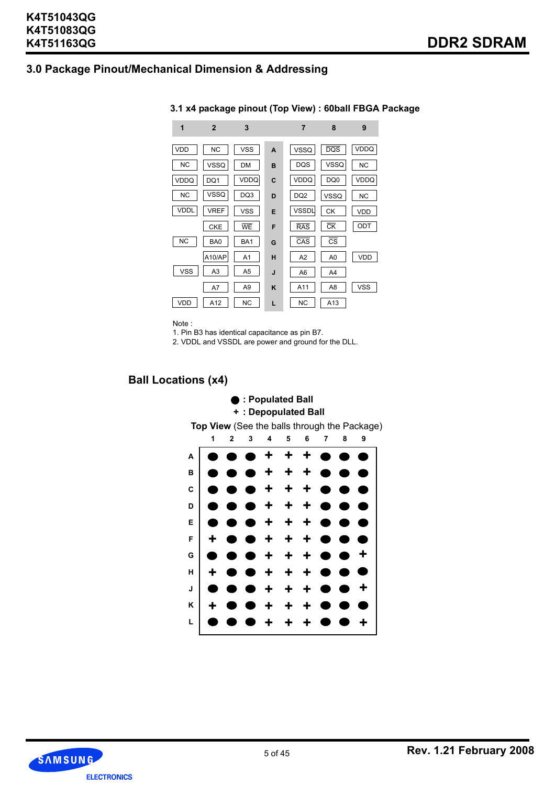# **3.0 Package Pinout/Mechanical Dimension & Addressing**

| 1           | $\mathbf{2}$   | 3              |   | 7               | 8                      | 9           |
|-------------|----------------|----------------|---|-----------------|------------------------|-------------|
| <b>VDD</b>  | <b>NC</b>      | <b>VSS</b>     | A | <b>VSSQ</b>     | DQS                    | <b>VDDQ</b> |
| <b>NC</b>   | <b>VSSQ</b>    | <b>DM</b>      | B | <b>DQS</b>      | <b>VSSQ</b>            | <b>NC</b>   |
| <b>VDDQ</b> | DQ1            | VDDQ           | C | VDDQ            | DQ0                    | VDDQ        |
| <b>NC</b>   | VSSQ           | DQ3            | D | DQ <sub>2</sub> | <b>VSSQ</b>            | <b>NC</b>   |
| <b>VDDL</b> | <b>VREF</b>    | <b>VSS</b>     | E | <b>VSSDL</b>    | <b>CK</b>              | VDD         |
|             | <b>CKE</b>     | <b>WE</b>      | F | <b>RAS</b>      | $\overline{\text{CK}}$ | ODT         |
| <b>NC</b>   | BA0            | BA1            | G | CAS             | $\overline{\text{cs}}$ |             |
|             | A10/AP         | A <sub>1</sub> | н | A <sub>2</sub>  | A0                     | <b>VDD</b>  |
| <b>VSS</b>  | A <sub>3</sub> | A <sub>5</sub> | J | A <sub>6</sub>  | A4                     |             |
|             | A7             | A <sub>9</sub> | ĸ | A11             | A8                     | <b>VSS</b>  |
| VDD         | A12            | <b>NC</b>      | L | <b>NC</b>       | A13                    |             |

#### **3.1 x4 package pinout (Top View) : 60ball FBGA Package**

Note :

1. Pin B3 has identical capacitance as pin B7.

2. VDDL and VSSDL are power and ground for the DLL.

# **Ball Locations (x4)**

#### **+ + + + + + + + + + + + + + + + + + + + + + + + + + + + + + + + + + + + + + + + 123456789 A B C D E F G H J K L : Populated Ball + : Depopulated Ball Top View** (See the balls through the Package)

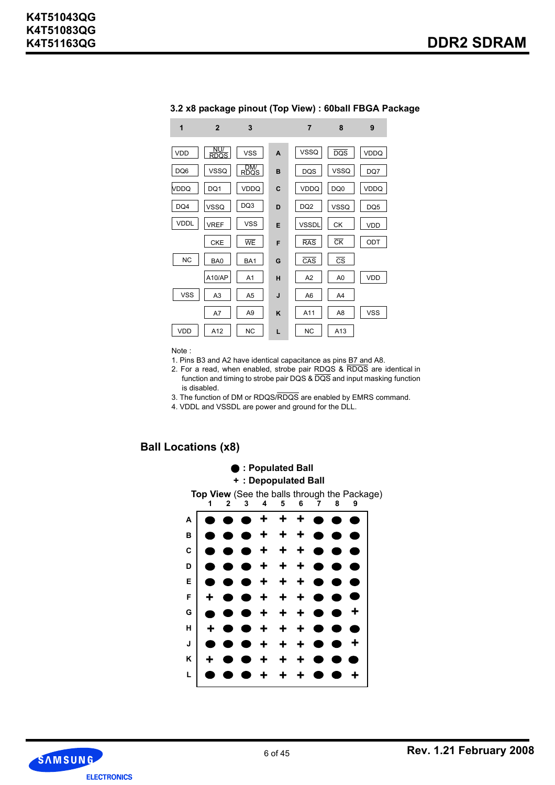| 1           | $\overline{2}$     | 3              |   | 7               | 8                      | 9          |
|-------------|--------------------|----------------|---|-----------------|------------------------|------------|
| VDD         | NU/<br><b>RDOS</b> | <b>VSS</b>     | A | VSSQ            | <b>DQS</b>             | VDDQ       |
| DQ6         | <b>VSSQ</b>        | DM/<br>RDQS    | B | <b>DQS</b>      | <b>VSSQ</b>            | DQ7        |
| VDDQ        | DQ1                | VDDQ           | C | VDDQ            | DQ0                    | VDDQ       |
| DQ4         | VSSQ               | DQ3            | D | DQ <sub>2</sub> | VSSQ                   | DQ5        |
| <b>VDDL</b> | <b>VREF</b>        | <b>VSS</b>     | E | <b>VSSDL</b>    | <b>CK</b>              | <b>VDD</b> |
|             | <b>CKE</b>         | WE             | F | <b>RAS</b>      | $\overline{\text{CK}}$ | ODT        |
| <b>NC</b>   | BA0                | BA1            | G | CAS             | $\overline{\text{cs}}$ |            |
|             | A10/AP             | A <sub>1</sub> | H | A <sub>2</sub>  | A <sub>0</sub>         | VDD        |
| <b>VSS</b>  | A <sub>3</sub>     | A <sub>5</sub> | J | A <sub>6</sub>  | A <sub>4</sub>         |            |
|             | A7                 | A <sub>9</sub> | ĸ | A11             | A <sub>8</sub>         | <b>VSS</b> |
| VDD         | A12                | <b>NC</b>      | L | <b>NC</b>       | A13                    |            |

#### **3.2 x8 package pinout (Top View) : 60ball FBGA Package**

#### Note :

- 1. Pins B3 and A2 have identical capacitance as pins B7 and A8.
- 2. For a read, when enabled, strobe pair RDQS & RDQS are identical in function and timing to strobe pair DQS & DQS and input masking function is disabled.
- 3. The function of DM or RDQS/RDQS are enabled by EMRS command.
- 4. VDDL and VSSDL are power and ground for the DLL.

### **Ball Locations (x8)**



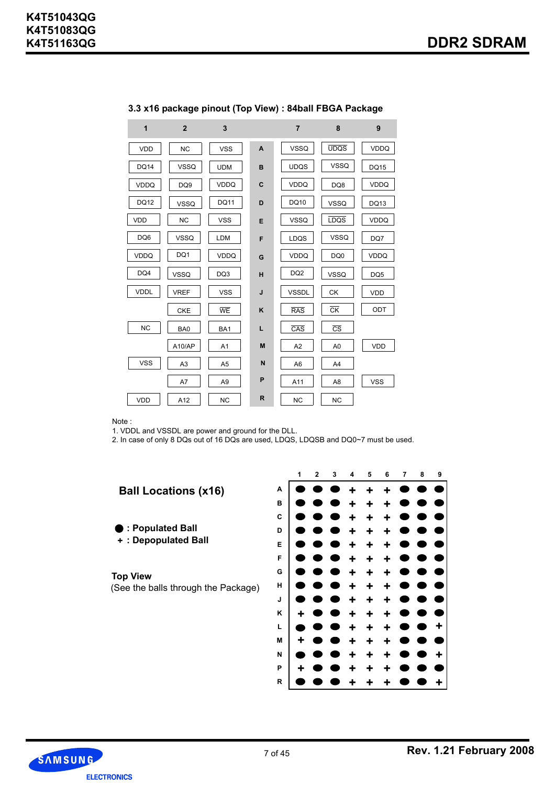| 1           | $\overline{2}$  | 3              |              | $\overline{7}$  | 8                      | 9               |
|-------------|-----------------|----------------|--------------|-----------------|------------------------|-----------------|
| <b>VDD</b>  | <b>NC</b>       | <b>VSS</b>     | $\mathsf{A}$ | <b>VSSQ</b>     | <b>UDQS</b>            | <b>VDDQ</b>     |
| <b>DQ14</b> | <b>VSSQ</b>     | <b>UDM</b>     | в            | <b>UDQS</b>     | <b>VSSQ</b>            | <b>DQ15</b>     |
| VDDQ        | DQ <sub>9</sub> | VDDQ           | C            | <b>VDDQ</b>     | DQ8                    | <b>VDDQ</b>     |
| DQ12        | <b>VSSQ</b>     | <b>DQ11</b>    | D            | DQ10            | <b>VSSQ</b>            | <b>DQ13</b>     |
| <b>VDD</b>  | <b>NC</b>       | <b>VSS</b>     | E            | <b>VSSQ</b>     | <b>LDQS</b>            | <b>VDDQ</b>     |
| DQ6         | <b>VSSQ</b>     | LDM            | F            | LDQS            | <b>VSSQ</b>            | DQ7             |
| <b>VDDQ</b> | DQ1             | <b>VDDQ</b>    | G            | <b>VDDQ</b>     | DQ0                    | <b>VDDQ</b>     |
| DQ4         | <b>VSSQ</b>     | DQ3            | H            | DQ <sub>2</sub> | <b>VSSQ</b>            | DQ <sub>5</sub> |
| <b>VDDL</b> | <b>VREF</b>     | <b>VSS</b>     | J            | <b>VSSDL</b>    | <b>CK</b>              | <b>VDD</b>      |
|             | <b>CKE</b>      | WE             | K            | <b>RAS</b>      | $\overline{\rm c}$ K   | ODT             |
| <b>NC</b>   | BA0             | BA1            | L            | CAS             | $\overline{\text{cs}}$ |                 |
|             | A10/AP          | A1             | M            | A <sub>2</sub>  | A <sub>0</sub>         | <b>VDD</b>      |
| <b>VSS</b>  | A <sub>3</sub>  | A <sub>5</sub> | N            | A <sub>6</sub>  | A <sub>4</sub>         |                 |
|             | A7              | A <sub>9</sub> | P            | A11             | A <sub>8</sub>         | <b>VSS</b>      |
| <b>VDD</b>  | A12             | <b>NC</b>      | R            | <b>NC</b>       | <b>NC</b>              |                 |

# **3.3 x16 package pinout (Top View) : 84ball FBGA Package**

Note :

1. VDDL and VSSDL are power and ground for the DLL.

2. In case of only 8 DQs out of 16 DQs are used, LDQS, LDQSB and DQ0~7 must be used.





**R**

**+**

**+**

**+**

**+**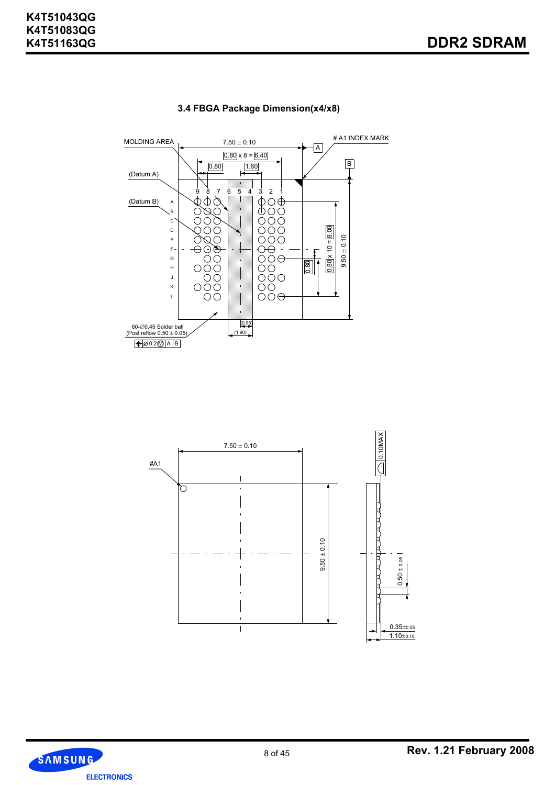

# **3.4 FBGA Package Dimension(x4/x8)**



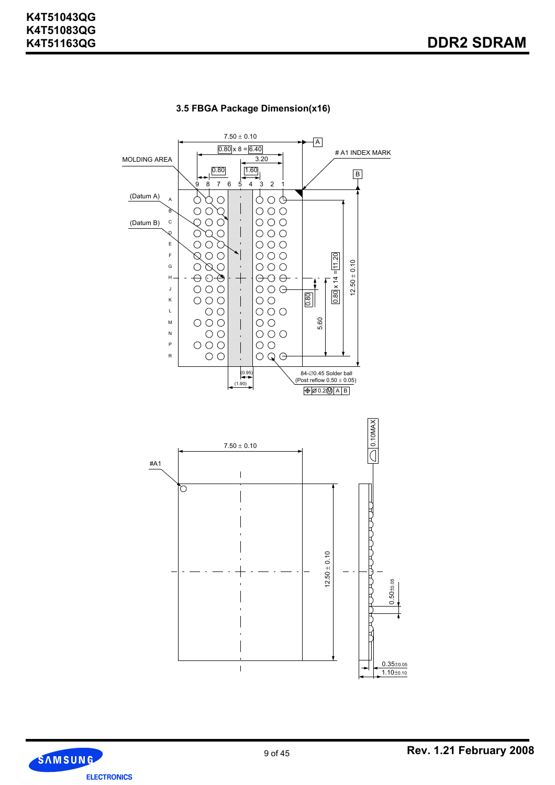

# **3.5 FBGA Package Dimension(x16)**

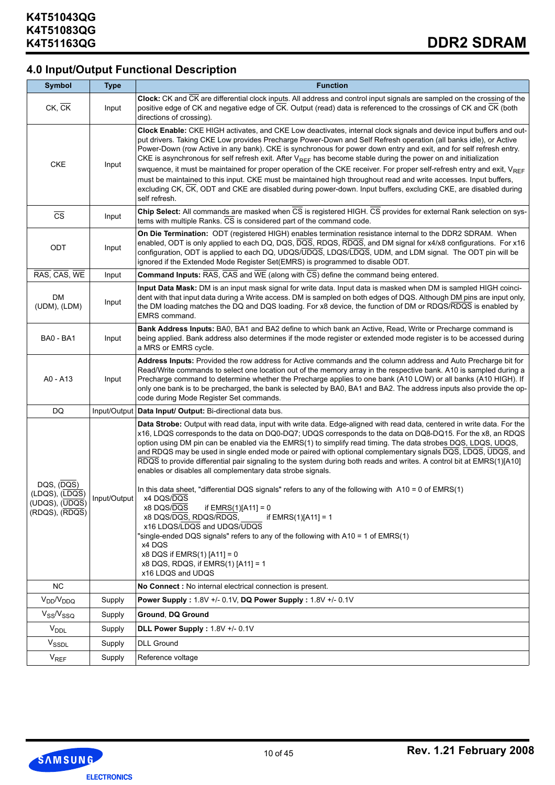# **4.0 Input/Output Functional Description**

| <b>Symbol</b>                                           | <b>Type</b>  | <b>Function</b>                                                                                                                                                                                                                                                                                                                                                                                                                                                                                                                                                                                                                                                                                                                                                                                                                                                                    |
|---------------------------------------------------------|--------------|------------------------------------------------------------------------------------------------------------------------------------------------------------------------------------------------------------------------------------------------------------------------------------------------------------------------------------------------------------------------------------------------------------------------------------------------------------------------------------------------------------------------------------------------------------------------------------------------------------------------------------------------------------------------------------------------------------------------------------------------------------------------------------------------------------------------------------------------------------------------------------|
| $CK$ , $CK$                                             | Input        | Clock: CK and CK are differential clock inputs. All address and control input signals are sampled on the crossing of the<br>positive edge of CK and negative edge of CK. Output (read) data is referenced to the crossings of CK and CK (both<br>directions of crossing).                                                                                                                                                                                                                                                                                                                                                                                                                                                                                                                                                                                                          |
| <b>CKE</b>                                              | Input        | Clock Enable: CKE HIGH activates, and CKE Low deactivates, internal clock signals and device input buffers and out-<br>put drivers. Taking CKE Low provides Precharge Power-Down and Self Refresh operation (all banks idle), or Active<br>Power-Down (row Active in any bank). CKE is synchronous for power down entry and exit, and for self refresh entry.<br>CKE is asynchronous for self refresh exit. After $V_{REF}$ has become stable during the power on and initialization<br>swquence, it must be maintained for proper operation of the CKE receiver. For proper self-refresh entry and exit, V <sub>REF</sub><br>must be maintained to this input. CKE must be maintained high throughout read and write accesses. Input buffers,<br>excluding CK, CK, ODT and CKE are disabled during power-down. Input buffers, excluding CKE, are disabled during<br>self refresh. |
| $\overline{\text{CS}}$                                  | Input        | Chip Select: All commands are masked when CS is registered HIGH. CS provides for external Rank selection on sys-<br>tems with multiple Ranks. CS is considered part of the command code.                                                                                                                                                                                                                                                                                                                                                                                                                                                                                                                                                                                                                                                                                           |
| ODT                                                     | Input        | On Die Termination: ODT (registered HIGH) enables termination resistance internal to the DDR2 SDRAM. When<br>enabled, ODT is only applied to each DQ, DQS, DQS, RDQS, RDQS, and DM signal for x4/x8 configurations. For x16<br>configuration, ODT is applied to each DQ, UDQS/UDQS, LDQS/LDQS, UDM, and LDM signal. The ODT pin will be<br>ignored if the Extended Mode Register Set(EMRS) is programmed to disable ODT.                                                                                                                                                                                                                                                                                                                                                                                                                                                           |
| RAS, CAS, WE                                            | Input        | <b>Command Inputs:</b> $\overline{RAS}$ , $\overline{CAS}$ and $\overline{WE}$ (along with $\overline{CS}$ ) define the command being entered.                                                                                                                                                                                                                                                                                                                                                                                                                                                                                                                                                                                                                                                                                                                                     |
| DM<br>(UDM), (LDM)                                      | Input        | Input Data Mask: DM is an input mask signal for write data. Input data is masked when DM is sampled HIGH coinci-<br>dent with that input data during a Write access. DM is sampled on both edges of DQS. Although DM pins are input only,<br>the DM loading matches the DQ and DQS loading. For x8 device, the function of DM or RDQS/RDQS is enabled by<br><b>EMRS</b> command.                                                                                                                                                                                                                                                                                                                                                                                                                                                                                                   |
| <b>BA0 - BA1</b>                                        | Input        | Bank Address Inputs: BA0, BA1 and BA2 define to which bank an Active, Read, Write or Precharge command is<br>being applied. Bank address also determines if the mode register or extended mode register is to be accessed during<br>a MRS or EMRS cycle.                                                                                                                                                                                                                                                                                                                                                                                                                                                                                                                                                                                                                           |
| A0 - A13                                                | Input        | Address Inputs: Provided the row address for Active commands and the column address and Auto Precharge bit for<br>Read/Write commands to select one location out of the memory array in the respective bank. A10 is sampled during a<br>Precharge command to determine whether the Precharge applies to one bank (A10 LOW) or all banks (A10 HIGH). If<br>only one bank is to be precharged, the bank is selected by BA0, BA1 and BA2. The address inputs also provide the op-<br>code during Mode Register Set commands.                                                                                                                                                                                                                                                                                                                                                          |
| DQ                                                      | Input/Output | Data Input/ Output: Bi-directional data bus.                                                                                                                                                                                                                                                                                                                                                                                                                                                                                                                                                                                                                                                                                                                                                                                                                                       |
| DQS, (DQS)                                              |              | Data Strobe: Output with read data, input with write data. Edge-aligned with read data, centered in write data. For the<br>x16, LDQS corresponds to the data on DQ0-DQ7; UDQS corresponds to the data on DQ8-DQ15. For the x8, an RDQS<br>option using DM pin can be enabled via the EMRS(1) to simplify read timing. The data strobes DQS, LDQS, UDQS,<br>and RDQS may be used in single ended mode or paired with optional complementary signals DQS, LDQS, UDQS, and<br>RDQS to provide differential pair signaling to the system during both reads and writes. A control bit at EMRS(1)[A10]<br>enables or disables all complementary data strobe signals.<br>In this data sheet, "differential DQS signals" refers to any of the following with $A10 = 0$ of EMRS(1)                                                                                                          |
| (LDQS), (LDQS)<br>(UDQS), (UDQS)<br>$(RDQS)$ , $(RDQS)$ | Input/Output | x4 DQS/DQS<br>x8 DQS/DQS<br>if $EMRS(1)[A11] = 0$<br>x8 DQS/DQS, RDQS/RDQS,<br>if $EMRS(1)[A11] = 1$<br>x16 LDQS/LDQS and UDQS/UDQS<br>"single-ended DQS signals" refers to any of the following with A10 = 1 of EMRS(1)<br>x4 DQS<br>x8 DQS if $EMRS(1)$ $[A11] = 0$<br>x8 DQS, RDQS, if EMRS(1) [A11] = 1<br>x16 LDQS and UDQS                                                                                                                                                                                                                                                                                                                                                                                                                                                                                                                                                   |
| <b>NC</b>                                               |              | No Connect: No internal electrical connection is present.                                                                                                                                                                                                                                                                                                                                                                                                                                                                                                                                                                                                                                                                                                                                                                                                                          |
| $V_{DD}/V_{DDQ}$                                        | Supply       | Power Supply: 1.8V +/- 0.1V, DQ Power Supply: 1.8V +/- 0.1V                                                                                                                                                                                                                                                                                                                                                                                                                                                                                                                                                                                                                                                                                                                                                                                                                        |
| $V_{SS}/V_{SSQ}$                                        | Supply       | Ground, DQ Ground                                                                                                                                                                                                                                                                                                                                                                                                                                                                                                                                                                                                                                                                                                                                                                                                                                                                  |
| $V_{\text{DDL}}$                                        | Supply       | DLL Power Supply: 1.8V +/- 0.1V                                                                                                                                                                                                                                                                                                                                                                                                                                                                                                                                                                                                                                                                                                                                                                                                                                                    |
| V <sub>SSDL</sub>                                       | Supply       | <b>DLL Ground</b>                                                                                                                                                                                                                                                                                                                                                                                                                                                                                                                                                                                                                                                                                                                                                                                                                                                                  |
| $V_{REF}$                                               | Supply       | Reference voltage                                                                                                                                                                                                                                                                                                                                                                                                                                                                                                                                                                                                                                                                                                                                                                                                                                                                  |

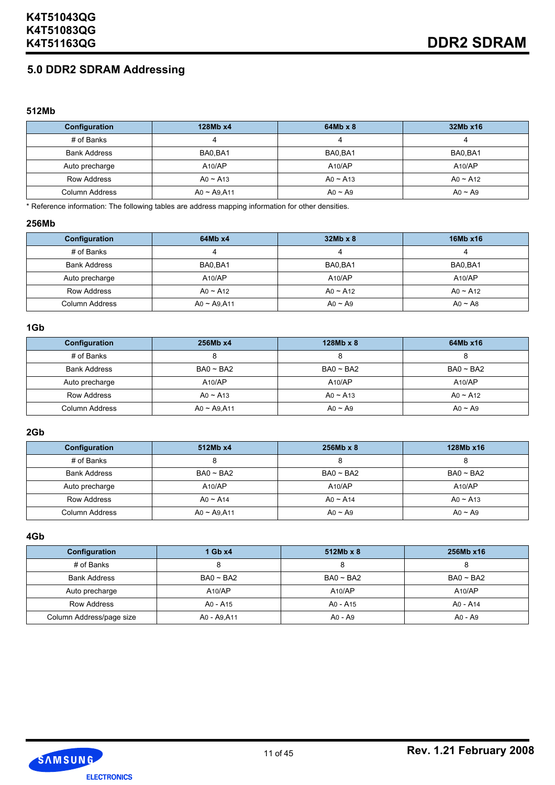# **5.0 DDR2 SDRAM Addressing**

#### **512Mb**

| Configuration       | 128Mb x4       | $64Mb \times 8$ | 32Mb x16       |
|---------------------|----------------|-----------------|----------------|
| # of Banks          |                | 4               |                |
| <b>Bank Address</b> | BA0.BA1        | BA0.BA1         | BA0.BA1        |
| Auto precharge      | A10/AP         | A10/AP          | A10/AP         |
| <b>Row Address</b>  | $A0 \sim A13$  | $A_0 \sim A_13$ | $A0 \sim A12$  |
| Column Address      | $A0 - A9, A11$ | $A_0 \sim A_9$  | $A_0 \sim A_9$ |

\* Reference information: The following tables are address mapping information for other densities.

#### **256Mb**

| <b>Configuration</b> | 64Mb x4           | $32Mb \times 8$ | 16Mb x16      |
|----------------------|-------------------|-----------------|---------------|
| # of Banks           |                   | 4               |               |
| <b>Bank Address</b>  | BA0.BA1           | BA0.BA1         | BA0, BA1      |
| Auto precharge       | A10/AP            | A10/AP          | A10/AP        |
| Row Address          | $A_0 \sim A_{12}$ | $A_0 \sim A_12$ | $A0 \sim A12$ |
| Column Address       | $A0 - A9, A11$    | $A_0 \sim A_9$  | $A0 \sim A8$  |

#### **1Gb**

| Configuration       | 256Mb x4        | $128Mb \times 8$ | 64Mb x16          |
|---------------------|-----------------|------------------|-------------------|
| # of Banks          |                 |                  |                   |
| <b>Bank Address</b> | $BA0 \sim BA2$  | $BA0 \sim BA2$   | $BA0 \sim BA2$    |
| Auto precharge      | A10/AP          | A10/AP           | A10/AP            |
| <b>Row Address</b>  | $A_0 \sim A_13$ | $A_0 \sim A_13$  | $A_0 \sim A_{12}$ |
| Column Address      | $A0 - A9, A11$  | $A_0 \sim A_9$   | $A_0 \sim A_9$    |

#### **2Gb**

| Configuration       | 512Mb x4        | $256Mb \times 8$ | 128Mb x16       |
|---------------------|-----------------|------------------|-----------------|
| # of Banks          |                 |                  |                 |
| <b>Bank Address</b> | $BA0 \sim BA2$  | $BA0 \sim BA2$   | $BA0 \sim BA2$  |
| Auto precharge      | A10/AP          | A10/AP           | A10/AP          |
| Row Address         | $A_0 \sim A_14$ | $A_0 \sim A_14$  | $A_0 \sim A_13$ |
| Column Address      | $A0 - A9, A11$  | $A_0 \sim A_9$   | $A_0 \sim A_9$  |

**4Gb**

| Configuration            | $1$ Gb $x4$    | $512Mb \times 8$ | 256Mb x16      |
|--------------------------|----------------|------------------|----------------|
| # of Banks               |                |                  |                |
| <b>Bank Address</b>      | $BA0 \sim BA2$ | $BA0 \sim BA2$   | $BA0 \sim BA2$ |
| Auto precharge           | A10/AP         | A10/AP           | A10/AP         |
| Row Address              | A0 - A15       | A0 - A15         | A0 - A14       |
| Column Address/page size | A0 - A9, A11   | A0 - A9          | A0 - A9        |

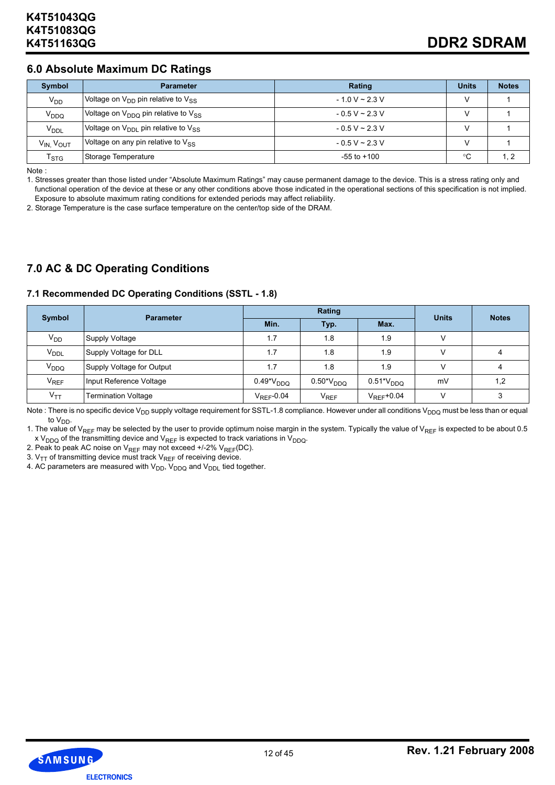# **6.0 Absolute Maximum DC Ratings**

| Symbol                            | <b>Parameter</b>                                     | Rating              | <b>Units</b>  | <b>Notes</b> |
|-----------------------------------|------------------------------------------------------|---------------------|---------------|--------------|
| $V_{DD}$                          | Voltage on $V_{DD}$ pin relative to $V_{SS}$         | $-1.0 V - 2.3 V$    |               |              |
| V <sub>DDQ</sub>                  | Voltage on $V_{DDO}$ pin relative to $V_{SS}$        | $-0.5 V \sim 2.3 V$ | $\mathcal{L}$ |              |
| V <sub>DDL</sub>                  | Voltage on $V_{\text{DDL}}$ pin relative to $V_{SS}$ | $-0.5 V \sim 2.3 V$ |               |              |
| V <sub>IN.</sub> V <sub>OUT</sub> | Voltage on any pin relative to $V_{SS}$              | $-0.5 V \sim 2.3 V$ |               |              |
| $\mathsf{T}_{\textsf{STG}}$       | Storage Temperature                                  | $-55$ to $+100$     | °C            | l. 2         |

Note :

1. Stresses greater than those listed under "Absolute Maximum Ratings" may cause permanent damage to the device. This is a stress rating only and functional operation of the device at these or any other conditions above those indicated in the operational sections of this specification is not implied. Exposure to absolute maximum rating conditions for extended periods may affect reliability.

2. Storage Temperature is the case surface temperature on the center/top side of the DRAM.

# **7.0 AC & DC Operating Conditions**

#### **7.1 Recommended DC Operating Conditions (SSTL - 1.8)**

|                        | <b>Parameter</b>           |                 | Rating                        | <b>Units</b>    | <b>Notes</b> |     |
|------------------------|----------------------------|-----------------|-------------------------------|-----------------|--------------|-----|
| <b>Symbol</b>          |                            | Min.            | Typ.                          | Max.            |              |     |
| $V_{DD}$               | Supply Voltage             | 1.7             | 1.8                           | 1.9             |              |     |
| <b>V<sub>DDL</sub></b> | Supply Voltage for DLL     | 1.7             | 1.8                           | 1.9             |              |     |
| V <sub>DDQ</sub>       | Supply Voltage for Output  | 1.7             | 1.8                           | 1.9             | $\mathsf{V}$ | 4   |
| <b>V<sub>REF</sub></b> | Input Reference Voltage    | $0.49*VDDO$     | $0.50^{\ast}\mathrm{V_{DDQ}}$ | $0.51*VDDO$     | mV           | 1,2 |
| $V_{TT}$               | <b>Termination Voltage</b> | $V_{RFF}$ -0.04 | V <sub>REF</sub>              | $V_{RFF}$ +0.04 |              | 3   |

Note : There is no specific device V<sub>DD</sub> supply voltage requirement for SSTL-1.8 compliance. However under all conditions V<sub>DDQ</sub> must be less than or equal to  $V_{DD}$ .

1. The value of V<sub>REF</sub> may be selected by the user to provide optimum noise margin in the system. Typically the value of V<sub>REF</sub> is expected to be about 0.5 x V<sub>DDQ</sub> of the transmitting device and V<sub>REF</sub> is expected to track variations in V<sub>DDQ</sub>.

2. Peak to peak AC noise on  $V_{REF}$  may not exceed +/-2%  $V_{REF}(DC)$ .

3.  $V_{TT}$  of transmitting device must track  $V_{RFF}$  of receiving device.

4. AC parameters are measured with  $V_{DD}$ ,  $V_{DDQ}$  and  $V_{DDL}$  tied together.

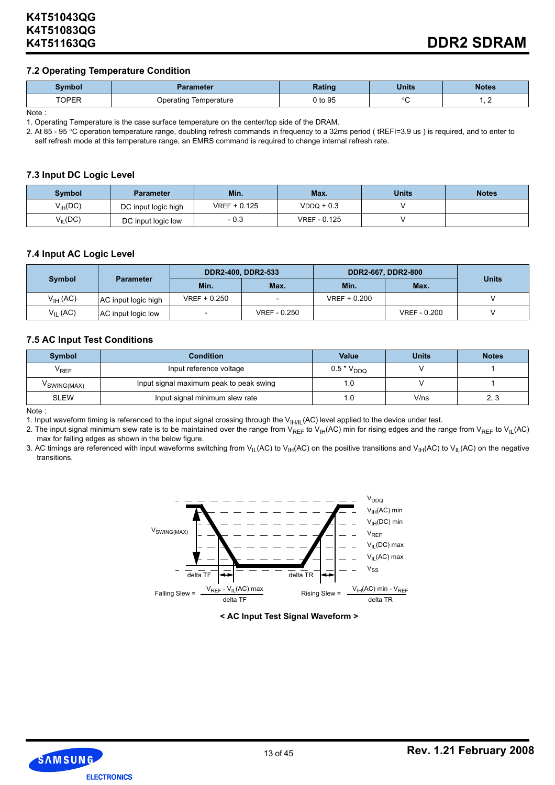#### **7.2 Operating Temperature Condition**

| Symbol                      | Parameter                | <b>Rating</b> | <b>Units</b> | <b>Notes</b> |
|-----------------------------|--------------------------|---------------|--------------|--------------|
| <b>TODED</b><br><b>UFLN</b> | Temperature<br>)peratinc | 0 to 95       | $\circ$      | . .          |

Note :

1. Operating Temperature is the case surface temperature on the center/top side of the DRAM.

2. At 85 - 95 °C operation temperature range, doubling refresh commands in frequency to a 32ms period (tREFI=3.9 us) is required, and to enter to self refresh mode at this temperature range, an EMRS command is required to change internal refresh rate.

#### **7.3 Input DC Logic Level**

| <b>Symbol</b>       | <b>Parameter</b>    | Min.           | Max.                | <b>Units</b> | <b>Notes</b> |
|---------------------|---------------------|----------------|---------------------|--------------|--------------|
| $V_{\text{IH}}(DC)$ | DC input logic high | $VREF + 0.125$ | $VDDQ + 0.3$        |              |              |
| $V_{II}$ (DC)       | DC input logic low  | - 0.3          | <b>VREF - 0.125</b> |              |              |

#### **7.4 Input AC Logic Level**

|                     |                     |                | DDR2-400, DDR2-533       |                | DDR2-667, DDR2-800  |              |
|---------------------|---------------------|----------------|--------------------------|----------------|---------------------|--------------|
| Symbol              | <b>Parameter</b>    | Min.           | Max.                     | Min.           | Max.                | <b>Units</b> |
| $V_{\text{IH}}(AC)$ | AC input logic high | $VREF + 0.250$ | $\overline{\phantom{0}}$ | $VREF + 0.200$ |                     |              |
| $V_{II}$ (AC)       | AC input logic low  |                | <b>VREF - 0.250</b>      |                | <b>VREF - 0.200</b> |              |

#### **7.5 AC Input Test Conditions**

| <b>Symbol</b> | <b>Value</b><br>Condition               |                 | <b>Units</b> | <b>Notes</b> |
|---------------|-----------------------------------------|-----------------|--------------|--------------|
| $V_{REF}$     | Input reference voltage                 | $0.5 * V_{DDQ}$ |              |              |
| V SWING(MAX)  | Input signal maximum peak to peak swing | .u              |              |              |
| SLEW          | Input signal minimum slew rate          | .0              | V/ns         | د. ۷         |

Note :

1. Input waveform timing is referenced to the input signal crossing through the  $V_{H/IL}(AC)$  level applied to the device under test.

2. The input signal minimum slew rate is to be maintained over the range from  $V_{REF}$  to  $V_{H}(AC)$  min for rising edges and the range from  $V_{REF}$  to  $V_{H}(AC)$ max for falling edges as shown in the below figure.

3. AC timings are referenced with input waveforms switching from V<sub>IL</sub>(AC) to V<sub>IH</sub>(AC) on the positive transitions and V<sub>IH</sub>(AC) to V<sub>IL</sub>(AC) on the negative transitions.



**< AC Input Test Signal Waveform >**

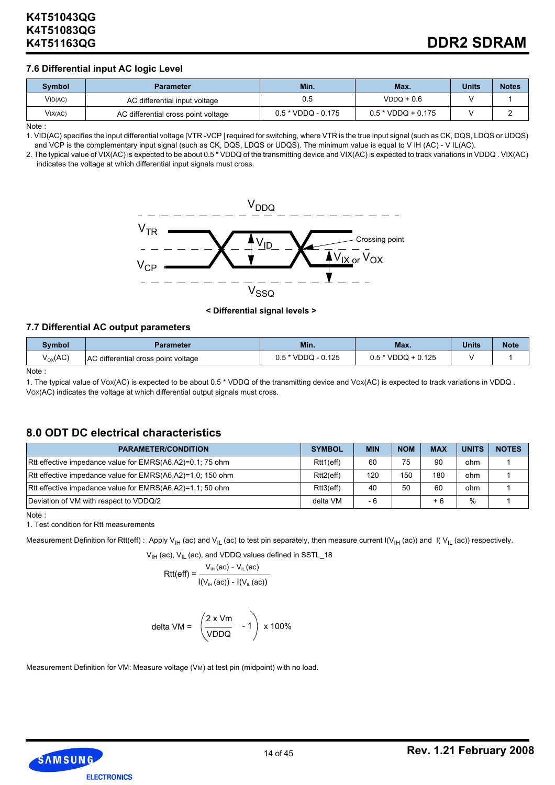#### **7.6 Differential input AC logic Level**

| Symbol  | <b>Parameter</b>                    | Min.                 | Max.                 | <b>Units</b> | <b>Notes</b> |
|---------|-------------------------------------|----------------------|----------------------|--------------|--------------|
| VID(AC) | AC differential input voltage       | 0.5                  | $VDDQ + 0.6$         |              |              |
| VIX(AC) | AC differential cross point voltage | $0.5 * VDDQ - 0.175$ | $0.5 * VDDQ + 0.175$ |              |              |

Note :

1. VID(AC) specifies the input differential voltage |VTR -VCP | required for switching, where VTR is the true input signal (such as CK, DQS, LDQS or UDQS) and VCP is the complementary input signal (such as  $\overline{CK}$ ,  $\overline{DQS}$ ,  $\overline{LDQS}$  or  $\overline{UDQS}$ ). The minimum value is equal to V IH (AC) - V IL(AC).

2. The typical value of VIX(AC) is expected to be about 0.5 \* VDDQ of the transmitting device and VIX(AC) is expected to track variations in VDDQ . VIX(AC) indicates the voltage at which differential input signals must cross.



**< Differential signal levels >**

#### **7.7 Differential AC output parameters**

| Svmbol            | Parameter                                 | Min.<br>Max.        |                         | <b>Units</b> | <b>Note</b> |
|-------------------|-------------------------------------------|---------------------|-------------------------|--------------|-------------|
| $V_{\rm OX}$ (AC) | じ differential cross point voltage<br>AC. | .125<br>VDDQ<br>v.v | $+0.125$<br>VDDQ<br>0.5 |              |             |

Note :

1. The typical value of Vox(AC) is expected to be about 0.5 \* VDDQ of the transmitting device and Vox(AC) is expected to track variations in VDDQ. VOX(AC) indicates the voltage at which differential output signals must cross.

# **8.0 ODT DC electrical characteristics**

| <b>PARAMETER/CONDITION</b>                                 | <b>SYMBOL</b> | <b>MIN</b> | <b>NOM</b> | <b>MAX</b> | <b>UNITS</b>  | <b>NOTES</b> |
|------------------------------------------------------------|---------------|------------|------------|------------|---------------|--------------|
| Rtt effective impedance value for EMRS(A6,A2)=0.1; 75 ohm  | Rtt1(eff)     | 60         | 75         | 90         | ohm           |              |
| Rtt effective impedance value for EMRS(A6,A2)=1,0; 150 ohm | Rtt2(eff)     | 120        | 150        | 180        | ohm           |              |
| Rtt effective impedance value for EMRS(A6,A2)=1,1; 50 ohm  | Rtt3(eff)     | 40         | 50         | 60         | ohm           |              |
| Deviation of VM with respect to VDDQ/2                     | delta VM      | - 6        |            | $+6$       | $\frac{0}{0}$ |              |

Note :

1. Test condition for Rtt measurements

Measurement Definition for Rtt(eff): Apply V<sub>IH</sub> (ac) and V<sub>IL</sub> (ac) to test pin separately, then measure current I(V<sub>IH</sub> (ac)) and I(V<sub>IL</sub> (ac)) respectively.

$$
V_{\text{IH}}
$$
 (ac),  $V_{\text{IL}}$  (ac), and VDDQ values defined in SSTL\_18

$$
Rtt(eff) = \frac{V_{\text{II}t} (ac) - V_{\text{II}t} (ac)}{|(V_{\text{II}t} (ac)) - I(V_{\text{II}t} (ac))|}
$$

delta VM = 
$$
\begin{pmatrix} 2 \times Vm \\ VDDQ & -1 \end{pmatrix} \times 100\%
$$

Measurement Definition for VM: Measure voltage (VM) at test pin (midpoint) with no load.

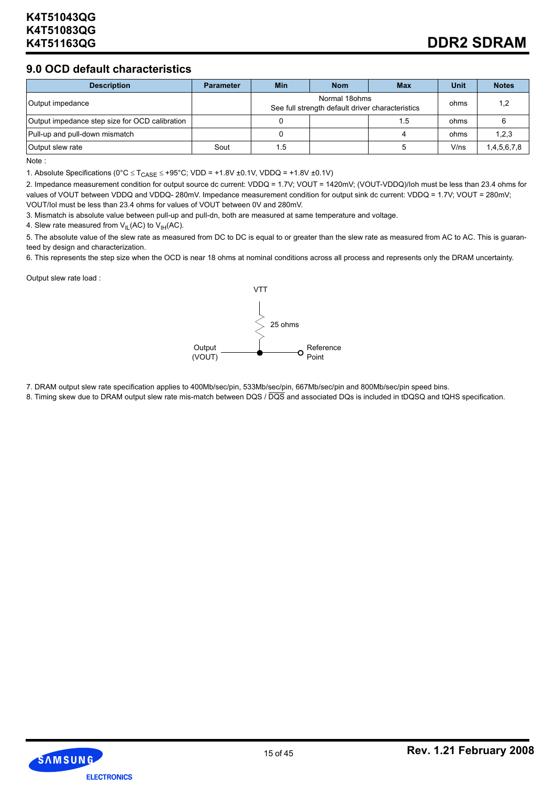# **9.0 OCD default characteristics**

| <b>Description</b>                             | <b>Parameter</b> | <b>Min</b>                                                        | <b>Nom</b> | <b>Max</b> | Unit | <b>Notes</b> |
|------------------------------------------------|------------------|-------------------------------------------------------------------|------------|------------|------|--------------|
| Output impedance                               |                  | Normal 18ohms<br>See full strength default driver characteristics |            |            | ohms | 1.2          |
| Output impedance step size for OCD calibration |                  |                                                                   |            | 1.5        | ohms |              |
| Pull-up and pull-down mismatch                 |                  |                                                                   |            |            | ohms | 1,2,3        |
| Output slew rate                               | Sout             | 1.5                                                               |            |            | V/ns | 1,4,5,6,7,8  |

Note :

1. Absolute Specifications ( $0^{\circ}C \leq T_{CASE} \leq +95^{\circ}C$ ; VDD = +1.8V ±0.1V, VDDQ = +1.8V ±0.1V)

2. Impedance measurement condition for output source dc current: VDDQ = 1.7V; VOUT = 1420mV; (VOUT-VDDQ)/Ioh must be less than 23.4 ohms for values of VOUT between VDDQ and VDDQ-280mV. Impedance measurement condition for output sink dc current: VDDQ = 1.7V; VOUT = 280mV; VOUT/Iol must be less than 23.4 ohms for values of VOUT between 0V and 280mV.

3. Mismatch is absolute value between pull-up and pull-dn, both are measured at same temperature and voltage.

4. Slew rate measured from  $V_{IL}(AC)$  to  $V_{IH}(AC)$ .

5. The absolute value of the slew rate as measured from DC to DC is equal to or greater than the slew rate as measured from AC to AC. This is guaranteed by design and characterization.

6. This represents the step size when the OCD is near 18 ohms at nominal conditions across all process and represents only the DRAM uncertainty.

Output slew rate load :



7. DRAM output slew rate specification applies to 400Mb/sec/pin, 533Mb/sec/pin, 667Mb/sec/pin and 800Mb/sec/pin speed bins.

8. Timing skew due to DRAM output slew rate mis-match between DQS / DQS and associated DQs is included in tDQSQ and tQHS specification.

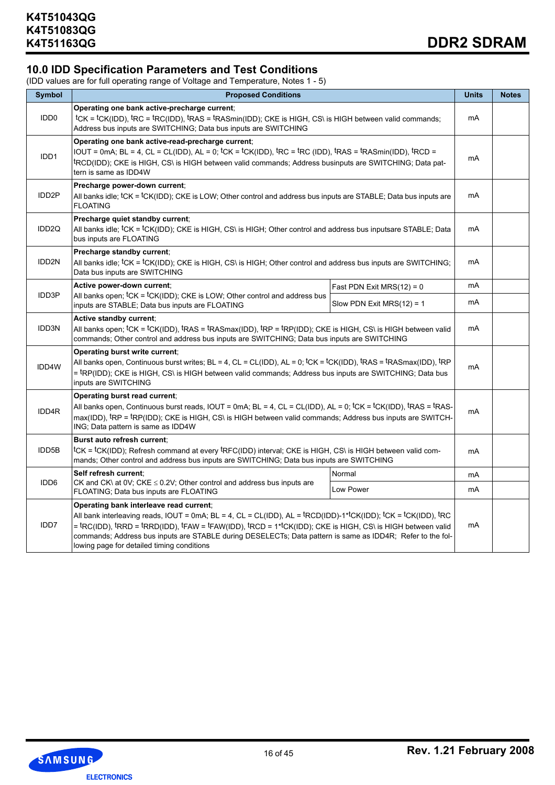# **10.0 IDD Specification Parameters and Test Conditions**

(IDD values are for full operating range of Voltage and Temperature, Notes 1 - 5)

| <b>Symbol</b>     | <b>Proposed Conditions</b>                                                                                                                                                                                                                                                                                                                                                                                                                                                                                                                                                                         |                              |    |  |  |  |
|-------------------|----------------------------------------------------------------------------------------------------------------------------------------------------------------------------------------------------------------------------------------------------------------------------------------------------------------------------------------------------------------------------------------------------------------------------------------------------------------------------------------------------------------------------------------------------------------------------------------------------|------------------------------|----|--|--|--|
| IDD <sub>0</sub>  | Operating one bank active-precharge current;<br>tcK = tcK(IDD), tRC = tRC(IDD), tRAS = tRASmin(IDD); CKE is HIGH, CS\ is HIGH between valid commands;<br>Address bus inputs are SWITCHING; Data bus inputs are SWITCHING                                                                                                                                                                                                                                                                                                                                                                           |                              | mA |  |  |  |
| IDD1              | Operating one bank active-read-precharge current;<br>IOUT = 0mA; BL = 4, CL = CL(IDD), AL = 0; tCK = tCK(IDD), tRC = tRC (IDD), tRAS = tRASmin(IDD), tRCD =<br>tRCD(IDD); CKE is HIGH, CS\ is HIGH between valid commands; Address businputs are SWITCHING; Data pat-<br>tern is same as IDD4W                                                                                                                                                                                                                                                                                                     |                              | mA |  |  |  |
| IDD <sub>2P</sub> | Precharge power-down current;<br>All banks idle; tCK = tCK(IDD); CKE is LOW; Other control and address bus inputs are STABLE; Data bus inputs are<br><b>FLOATING</b>                                                                                                                                                                                                                                                                                                                                                                                                                               |                              |    |  |  |  |
| IDD <sub>2Q</sub> | Precharge quiet standby current;<br>All banks idle; <sup>t</sup> CK = <sup>t</sup> CK(IDD); CKE is HIGH, CS\ is HIGH; Other control and address bus inputsare STABLE; Data<br>bus inputs are FLOATING                                                                                                                                                                                                                                                                                                                                                                                              |                              |    |  |  |  |
| IDD2N             | Precharge standby current;<br>All banks idle; <sup>t</sup> CK = <sup>t</sup> CK(IDD); CKE is HIGH, CS\ is HIGH; Other control and address bus inputs are SWITCHING;<br>Data bus inputs are SWITCHING                                                                                                                                                                                                                                                                                                                                                                                               |                              |    |  |  |  |
|                   | Active power-down current;                                                                                                                                                                                                                                                                                                                                                                                                                                                                                                                                                                         | Fast PDN Exit MRS $(12) = 0$ | mA |  |  |  |
| IDD3P             | All banks open; ${}^t$ CK = ${}^t$ CK(IDD); CKE is LOW; Other control and address bus<br>inputs are STABLE; Data bus inputs are FLOATING                                                                                                                                                                                                                                                                                                                                                                                                                                                           | Slow PDN Exit MRS $(12) = 1$ | mA |  |  |  |
| IDD3N             | Active standby current;<br>All banks open; tCK = tCK(IDD), tRAS = tRASmax(IDD), tRP = tRP(IDD); CKE is HIGH, CS\ is HIGH between valid<br>commands; Other control and address bus inputs are SWITCHING; Data bus inputs are SWITCHING                                                                                                                                                                                                                                                                                                                                                              |                              |    |  |  |  |
| IDD4W             | Operating burst write current:<br>All banks open, Continuous burst writes; BL = 4, CL = CL(IDD), AL = 0; $\text{tCK}$ = tCK(IDD), $\text{tRAS}$ = tRASmax(IDD), $\text{tRP}$<br>= <sup>t</sup> RP(IDD); CKE is HIGH, CS\ is HIGH between valid commands; Address bus inputs are SWITCHING; Data bus<br>inputs are SWITCHING                                                                                                                                                                                                                                                                        |                              | mA |  |  |  |
| IDD4R             | Operating burst read current;<br>All banks open, Continuous burst reads, IOUT = 0mA; BL = 4, CL = CL(IDD), AL = 0; tCK = tCK(IDD), tRAS = tRAS-<br>$max(1DD)$ , $R$ P = $R$ P(IDD); CKE is HIGH, CS\ is HIGH between valid commands; Address bus inputs are SWITCH-<br>ING; Data pattern is same as IDD4W                                                                                                                                                                                                                                                                                          |                              |    |  |  |  |
| IDD5B             | Burst auto refresh current:<br>tCK = tCK(IDD); Refresh command at every <sup>t</sup> RFC(IDD) interval; CKE is HIGH, CS\ is HIGH between valid com-<br>mands; Other control and address bus inputs are SWITCHING; Data bus inputs are SWITCHING                                                                                                                                                                                                                                                                                                                                                    |                              | mA |  |  |  |
|                   | Self refresh current:                                                                                                                                                                                                                                                                                                                                                                                                                                                                                                                                                                              | Normal                       | mA |  |  |  |
| IDD <sub>6</sub>  | CK and CK\ at 0V; CKE $\leq$ 0.2V; Other control and address bus inputs are<br>FLOATING; Data bus inputs are FLOATING                                                                                                                                                                                                                                                                                                                                                                                                                                                                              | Low Power                    | mA |  |  |  |
| IDD7              | Operating bank interleave read current;<br>All bank interleaving reads, IOUT = 0mA; BL = 4, CL = CL(IDD), AL = ${}^{\text{t}}$ RCD(IDD)-1* ${}^{\text{t}}$ CK(IDD); ${}^{\text{t}}$ CK = ${}^{\text{t}}$ CK(IDD), ${}^{\text{t}}$ RC<br>= <sup>t</sup> RC(IDD), <sup>t</sup> RRD = <sup>t</sup> RRD(IDD), <sup>t</sup> FAW = <sup>t</sup> FAW(IDD), <sup>t</sup> RCD = 1* <sup>t</sup> CK(IDD); CKE is HIGH, CS\ is HIGH between valid<br>commands; Address bus inputs are STABLE during DESELECTs; Data pattern is same as IDD4R; Refer to the fol-<br>lowing page for detailed timing conditions |                              |    |  |  |  |

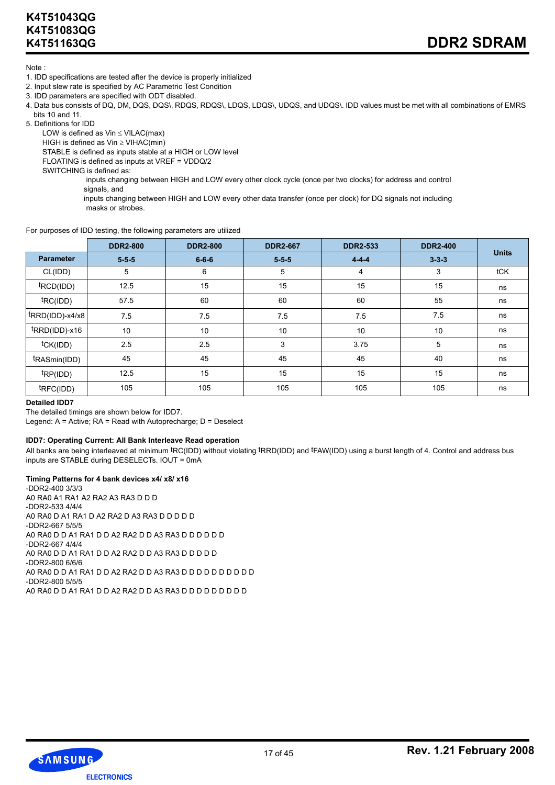Note :

- 1. IDD specifications are tested after the device is properly initialized
- 2. Input slew rate is specified by AC Parametric Test Condition
- 3. IDD parameters are specified with ODT disabled.
- 4. Data bus consists of DQ, DM, DQS, DQS\, RDQS, RDQS\, LDQS, LDQS\, UDQS, and UDQS\. IDD values must be met with all combinations of EMRS bits 10 and 11.
- 5. Definitions for IDD

LOW is defined as  $Vin \leq VILAC(max)$ HIGH is defined as Vin ≥ VIHAC(min)

STABLE is defined as inputs stable at a HIGH or LOW level

FLOATING is defined as inputs at VREF = VDDQ/2

SWITCHING is defined as:

 inputs changing between HIGH and LOW every other clock cycle (once per two clocks) for address and control signals, and

 inputs changing between HIGH and LOW every other data transfer (once per clock) for DQ signals not including masks or strobes.

#### For purposes of IDD testing, the following parameters are utilized

|                       | <b>DDR2-800</b> | <b>DDR2-800</b> | <b>DDR2-667</b> | <b>DDR2-533</b> | <b>DDR2-400</b> |              |
|-----------------------|-----------------|-----------------|-----------------|-----------------|-----------------|--------------|
| <b>Parameter</b>      | $5 - 5 - 5$     | $6 - 6 - 6$     | $5 - 5 - 5$     | $4 - 4 - 4$     | $3 - 3 - 3$     | <b>Units</b> |
| CL(IDD)               | 5               | 6               | 5               | 4               | 3               | tCK          |
| t <sub>RCD(IDD)</sub> | 12.5            | 15              | 15              | 15              | 15              | ns           |
| <sup>t</sup> RC(IDD)  | 57.5            | 60              | 60              | 60              | 55              | ns           |
| $trRAD(IDD)-x4/x8$    | 7.5             | 7.5             | 7.5             | 7.5             | 7.5             | ns           |
| tRRD(IDD)-x16         | 10              | 10              | 10              | 10              | 10              | ns           |
| tCK(IDD)              | 2.5             | 2.5             | 3               | 3.75            | 5               | ns           |
| tRASmin(IDD)          | 45              | 45              | 45              | 45              | 40              | ns           |
| tp(IDD)               | 12.5            | 15              | 15              | 15              | 15              | ns           |
| tRFC(IDD)             | 105             | 105             | 105             | 105             | 105             | ns           |

#### **Detailed IDD7**

The detailed timings are shown below for IDD7.

Legend: A = Active; RA = Read with Autoprecharge; D = Deselect

#### **IDD7: Operating Current: All Bank Interleave Read operation**

All banks are being interleaved at minimum tRC(IDD) without violating tRRD(IDD) and tFAW(IDD) using a burst length of 4. Control and address bus inputs are STABLE during DESELECTs. IOUT = 0mA

#### **Timing Patterns for 4 bank devices x4/ x8/ x16**

-DDR2-400 3/3/3 A0 RA0 A1 RA1 A2 RA2 A3 RA3 D D D -DDR2-533 4/4/4 A0 RA0 D A1 RA1 D A2 RA2 D A3 RA3 D D D D D -DDR2-667 5/5/5 A0 RA0 D D A1 RA1 D D A2 RA2 D D A3 RA3 D D D D D D -DDR2-667 4/4/4 A0 RA0 D D A1 RA1 D D A2 RA2 D D A3 RA3 D D D D D -DDR2-800 6/6/6 A0 RA0 D D A1 RA1 D D A2 RA2 D D A3 RA3 D D D D D D D D D D -DDR2-800 5/5/5 A0 RA0 D D A1 RA1 D D A2 RA2 D D A3 RA3 D D D D D D D D D

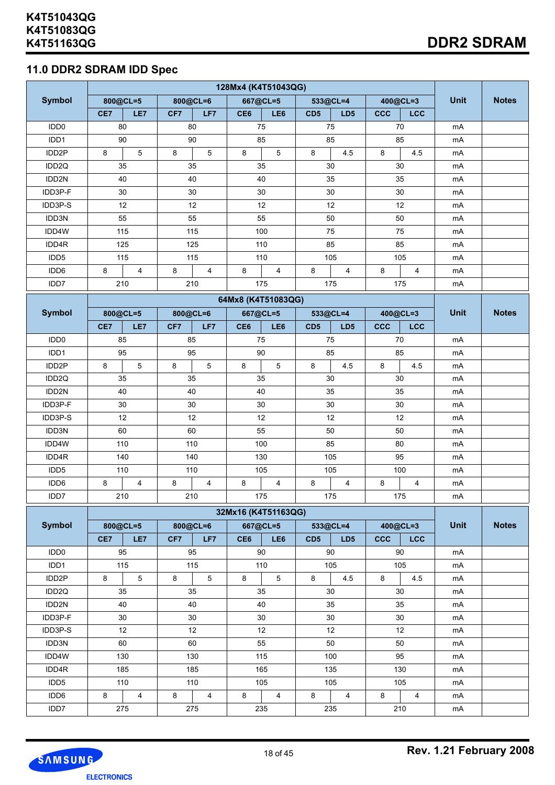# **11.0 DDR2 SDRAM IDD Spec**

|                          | 128Mx4 (K4T51043QG) |                        |     |                         |                     |                         |                 |                 |            |                |             |              |
|--------------------------|---------------------|------------------------|-----|-------------------------|---------------------|-------------------------|-----------------|-----------------|------------|----------------|-------------|--------------|
| <b>Symbol</b>            | 800@CL=5            |                        |     | 800@CL=6                |                     | 667@CL=5                |                 | 533@CL=4        |            | 400@CL=3       | <b>Unit</b> | <b>Notes</b> |
|                          | CE7                 | LE7                    | CF7 | LF7                     | CE6                 | LE6                     | CD5             | LD <sub>5</sub> | ccc        | LCC            |             |              |
| IDD <sub>0</sub>         |                     | 80                     |     | 80                      |                     | 75                      |                 | 75              |            | 70             | mA          |              |
| IDD1                     |                     | 90                     |     | 90                      |                     | 85                      |                 | 85              |            | 85             | mA          |              |
| IDD2P                    | 8                   | $5\overline{)}$        | 8   | 5                       | 8                   | $5\overline{)}$         | $\bf 8$         | 4.5             | 8          | 4.5            | mA          |              |
| IDD2Q                    |                     | 35                     |     | 35                      |                     | 35                      |                 | 30              |            | 30             | mA          |              |
| IDD2N                    |                     | 40                     |     | 40                      |                     | 40                      |                 | 35              |            | 35             | mA          |              |
| IDD3P-F                  |                     | 30                     |     | $30\,$                  |                     | 30                      |                 | $30\,$          |            | $30\,$         | mA          |              |
| IDD3P-S                  |                     | 12                     |     | 12                      |                     | 12                      |                 | 12              |            | 12             | mA          |              |
| IDD3N                    |                     | 55                     |     | 55                      |                     | 55                      |                 | 50              |            | 50             | mA          |              |
| IDD4W                    |                     | 115                    |     | 115                     |                     | 100                     |                 | 75              |            | 75             | mA          |              |
| IDD4R                    |                     | 125                    |     | 125                     |                     | 110                     |                 | 85              |            | 85             | mA          |              |
| IDD5                     |                     | 115                    |     | 115                     |                     | 110                     |                 | 105             |            | 105            | mA          |              |
| IDD6                     | 8                   | $\overline{4}$         | 8   | $\overline{\mathbf{4}}$ | 8                   | $\overline{\mathbf{4}}$ | 8               | $\overline{4}$  | 8          | $\overline{4}$ | mA          |              |
| IDD7                     |                     | 210                    |     | 210                     |                     | 175                     |                 | 175             |            | 175            | mA          |              |
|                          |                     |                        |     |                         | 64Mx8 (K4T51083QG)  |                         |                 |                 |            |                |             |              |
| <b>Symbol</b>            | 800@CL=5            |                        |     | 800@CL=6                | 667@CL=5            |                         |                 | 533@CL=4        |            | 400@CL=3       | <b>Unit</b> | <b>Notes</b> |
|                          | CE7                 | LE7                    | CF7 | LF7                     | CE <sub>6</sub>     | LE6                     | CD <sub>5</sub> | LD <sub>5</sub> | <b>CCC</b> | LCC            |             |              |
| IDD <sub>0</sub>         | 85                  |                        |     | 85                      | 75                  |                         |                 | 75              |            | 70             | mA          |              |
| IDD1                     | 95                  |                        |     | 95                      | 90                  |                         |                 | 85              |            | 85             | mA          |              |
| IDD <sub>2</sub> P       | 8                   | $5\phantom{.0}$        | 8   | $\overline{5}$          | 8                   | 5                       | 8               | 4.5             | 8          | 4.5            | mA          |              |
| IDD2Q                    | 35                  |                        |     | 35                      | 35                  |                         |                 | 30              |            | $30\,$         | mA          |              |
| IDD2N                    | 40                  |                        |     | 40                      | 40                  |                         |                 | 35              |            | 35             | mA          |              |
| IDD3P-F                  |                     | 30                     |     | $30\,$                  |                     | 30                      |                 | $30\,$          |            | 30             | mA          |              |
| IDD3P-S                  |                     | 12                     |     | 12                      |                     | 12                      |                 | 12              |            | 12             | mA          |              |
| IDD3N                    |                     | 60                     |     | 60                      | 55                  |                         |                 | 50              |            | 50             | mA          |              |
| IDD4W                    |                     | 110                    |     | 110                     | 100                 |                         |                 | 85              |            | 80             | mA          |              |
| IDD4R                    |                     | 140                    |     | 140                     | 130                 |                         |                 | 105             |            | 95             | mA          |              |
| IDD5                     |                     | 110                    |     | 110                     | 105                 |                         |                 | 105             |            | 100            | mA          |              |
| IDD6                     | 8                   | $\overline{4}$         | 8   | $\overline{4}$          | 8                   | $\overline{4}$          | $\bf 8$         | $\overline{4}$  | 8          | $\overline{4}$ | mA          |              |
| IDD7                     |                     | 210                    |     | 210                     |                     | 175                     |                 | 175             |            | 175            | mA          |              |
|                          |                     |                        |     |                         |                     |                         |                 |                 |            |                |             |              |
|                          |                     |                        |     |                         | 32Mx16 (K4T51163QG) |                         |                 |                 |            |                |             |              |
| <b>Symbol</b>            |                     | 800@CL=5               |     | 800@CL=6                |                     | 667@CL=5                |                 | 533@CL=4        |            | 400@CL=3       | <b>Unit</b> | <b>Notes</b> |
|                          | CE7                 | LE7                    | CF7 | LF7                     | CE6                 | LE6                     | CD <sub>5</sub> | LD <sub>5</sub> | <b>CCC</b> | LCC            |             |              |
| IDD <sub>0</sub><br>IDD1 |                     | 95                     |     | 95                      |                     | $90\,$<br>110           |                 | $90\,$<br>105   |            | 90<br>105      | mA          |              |
| IDD2P                    | 8                   | 115<br>$5\overline{)}$ | 8   | 115<br>$\overline{5}$   | 8                   | $\overline{5}$          | 8               | 4.5             | 8          | 4.5            | mA          |              |
|                          |                     |                        |     |                         |                     |                         |                 |                 |            |                | mA          |              |
| IDD2Q                    |                     | 35                     |     | 35                      |                     | 35                      |                 | 30              |            | 30             | mA          |              |
| IDD2N                    |                     | 40                     |     | 40                      |                     | 40                      |                 | 35              |            | 35             | mA          |              |
| IDD3P-F                  |                     | $30\,$                 |     | 30                      |                     | 30                      |                 | $30\,$          |            | $30\,$         | mA          |              |
| IDD3P-S                  |                     | 12                     |     | 12                      |                     | 12                      |                 | 12              |            | 12             | mA          |              |
| IDD3N                    |                     | 60                     |     | 60                      |                     | 55                      |                 | 50              |            | 50             | mA          |              |
| IDD4W                    |                     | 130                    |     | 130                     |                     | 115                     |                 | 100             |            | 95             | mA          |              |
| IDD4R                    |                     | 185                    |     | 185                     |                     | 165                     |                 | 135             |            | 130            | mA          |              |
| IDD5                     |                     | 110                    |     | 110                     |                     | 105                     |                 | 105             |            | 105            | mA          |              |
| IDD6                     | 8                   | $\overline{4}$         | 8   | $\overline{\mathbf{4}}$ | 8                   | $\overline{\mathbf{4}}$ | 8               | $\overline{4}$  | 8          | $\overline{4}$ | mA          |              |
| IDD7                     |                     | 275                    |     | 275                     |                     | 235                     |                 | 235             |            | 210            | mA          |              |

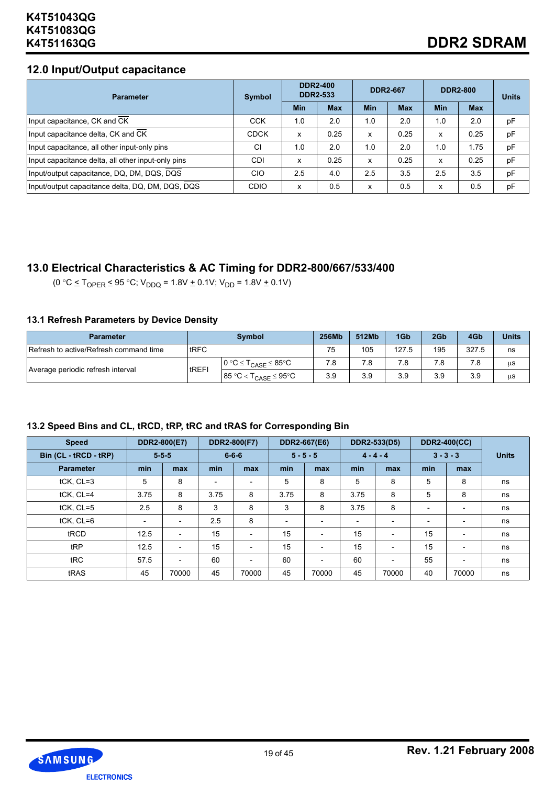# **12.0 Input/Output capacitance**

| <b>Parameter</b>                                   | Symbol      | <b>DDR2-400</b><br><b>DDR2-533</b> |            | <b>DDR2-667</b> |            |            | <b>DDR2-800</b> | <b>Units</b> |
|----------------------------------------------------|-------------|------------------------------------|------------|-----------------|------------|------------|-----------------|--------------|
|                                                    |             | <b>Min</b>                         | <b>Max</b> | <b>Min</b>      | <b>Max</b> | <b>Min</b> | <b>Max</b>      |              |
| Input capacitance, CK and CK                       | <b>CCK</b>  | 1.0                                | 2.0        | 1.0             | 2.0        | 1.0        | 2.0             | pF           |
| Input capacitance delta, CK and CK                 | <b>CDCK</b> | x                                  | 0.25       | x               | 0.25       | x          | 0.25            | pF           |
| Input capacitance, all other input-only pins       | CI          | 1.0                                | 2.0        | 1.0             | 2.0        | 1.0        | 1.75            | pF           |
| Input capacitance delta, all other input-only pins | <b>CDI</b>  | x                                  | 0.25       | x               | 0.25       | x          | 0.25            | pF           |
| Input/output capacitance, DQ, DM, DQS, DQS         | CIO         | 2.5                                | 4.0        | 2.5             | 3.5        | 2.5        | 3.5             | pF           |
| Input/output capacitance delta, DQ, DM, DQS, DQS   | <b>CDIO</b> | x                                  | 0.5        | x               | 0.5        | x          | 0.5             | pF           |

# **13.0 Electrical Characteristics & AC Timing for DDR2-800/667/533/400**

 $(0 °C \leq T_{OPER} \leq 95 °C; V_{DDQ} = 1.8V + 0.1V; V_{DD} = 1.8V + 0.1V)$ 

### **13.1 Refresh Parameters by Device Density**

| <b>Parameter</b>                       |              | <b>Symbol</b>                   | 256Mb | 512Mb | 1Gb   | 2Gb | 4Gb   | <b>Units</b> |
|----------------------------------------|--------------|---------------------------------|-------|-------|-------|-----|-------|--------------|
| Refresh to active/Refresh command time | <b>IRFC</b>  |                                 | 75    | 105   | 127.5 | 195 | 327.5 | ns           |
|                                        | <b>tREFI</b> | $0 °C \leq T_{CASE} \leq 85 °C$ | 7.8   | 7.8   | 7.8   | 7.8 |       | μS           |
| Average periodic refresh interval      |              | $85 °C < T_{CASE} \le 95 °C$    | 3.9   | 3.9   | 3.9   | 3.9 | 3.9   | μS           |

| <b>Speed</b>          | DDR2-800(E7)             |                          |                          | DDR2-800(F7)             |                          | DDR2-667(E6)             |                          | DDR2-533(D5)             |                          | <b>DDR2-400(CC)</b>      |              |
|-----------------------|--------------------------|--------------------------|--------------------------|--------------------------|--------------------------|--------------------------|--------------------------|--------------------------|--------------------------|--------------------------|--------------|
| Bin (CL - tRCD - tRP) | $5 - 5 - 5$              |                          |                          | $6 - 6 - 6$              |                          | $5 - 5 - 5$              | $4 - 4 - 4$              |                          |                          | $3 - 3 - 3$              | <b>Units</b> |
| <b>Parameter</b>      | min                      | max                      | min                      | max                      | min                      | max                      | min                      | max                      | min                      | max                      |              |
| tCK, CL=3             | 5                        | 8                        | $\overline{\phantom{0}}$ | $\overline{\phantom{0}}$ | 5                        | 8                        | 5                        | 8                        | 5                        | 8                        | ns           |
| tCK, CL=4             | 3.75                     | 8                        | 3.75                     | 8                        | 3.75                     | 8                        | 3.75                     | 8                        | 5                        | 8                        | ns           |
| tCK, CL=5             | 2.5                      | 8                        | 3                        | 8                        | 3                        | 8                        | 3.75                     | 8                        | $\overline{\phantom{a}}$ |                          | ns           |
| tCK, CL=6             | $\overline{\phantom{a}}$ | $\overline{\phantom{a}}$ | 2.5                      | 8                        | $\overline{\phantom{a}}$ | $\overline{\phantom{0}}$ | $\overline{\phantom{a}}$ | $\overline{\phantom{a}}$ | $\overline{\phantom{a}}$ |                          | ns           |
| tRCD                  | 12.5                     | $\overline{\phantom{a}}$ | 15                       | $\overline{\phantom{a}}$ | 15                       | $\overline{\phantom{a}}$ | 15                       | $\overline{\phantom{a}}$ | 15                       | $\overline{\phantom{a}}$ | ns           |
| tRP                   | 12.5                     | $\overline{\phantom{a}}$ | 15                       | $\overline{\phantom{a}}$ | 15                       | $\overline{\phantom{a}}$ | 15                       | $\overline{\phantom{a}}$ | 15                       | $\overline{\phantom{0}}$ | ns           |
| tRC                   | 57.5                     | $\overline{\phantom{a}}$ | 60                       | $\overline{\phantom{a}}$ | 60                       | $\overline{\phantom{a}}$ | 60                       | $\overline{\phantom{a}}$ | 55                       | $\overline{\phantom{a}}$ | ns           |
| tRAS                  | 45                       | 70000                    | 45                       | 70000                    | 45                       | 70000                    | 45                       | 70000                    | 40                       | 70000                    | ns           |

# **13.2 Speed Bins and CL, tRCD, tRP, tRC and tRAS for Corresponding Bin**

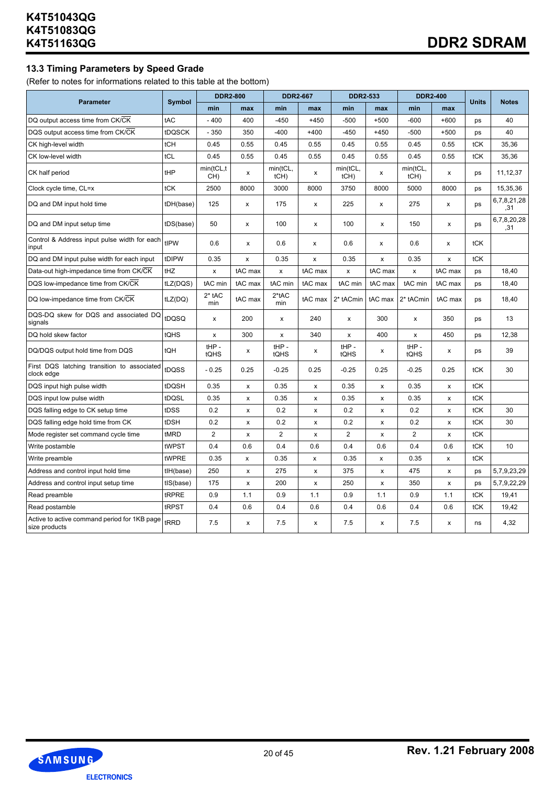### **13.3 Timing Parameters by Speed Grade**

(Refer to notes for informations related to this table at the bottom)

|                                                               |               | <b>DDR2-800</b>    |         | <b>DDR2-667</b>  |                | <b>DDR2-533</b>  |                | <b>DDR2-400</b>     |              |              |                    |
|---------------------------------------------------------------|---------------|--------------------|---------|------------------|----------------|------------------|----------------|---------------------|--------------|--------------|--------------------|
| <b>Parameter</b>                                              | <b>Symbol</b> | min                | max     | min              | max            | min              | max            | min                 | max          | <b>Units</b> | <b>Notes</b>       |
| DQ output access time from CK/CK                              | tAC           | $-400$             | 400     | $-450$           | $+450$         | $-500$           | $+500$         | $-600$              | $+600$       | ps           | 40                 |
| DQS output access time from CK/CK                             | tDQSCK        | $-350$             | 350     | $-400$           | $+400$         | $-450$           | $+450$         | $-500$              | $+500$       | ps           | 40                 |
| CK high-level width                                           | tCH           | 0.45               | 0.55    | 0.45             | 0.55           | 0.45             | 0.55           | 0.45                | 0.55         | tCK          | 35,36              |
| CK low-level width                                            | tCL           | 0.45               | 0.55    | 0.45             | 0.55           | 0.45             | 0.55           | 0.45                | 0.55         | tCK          | 35,36              |
| CK half period                                                | tHP           | min(tCL, t)<br>CH) | x       | min(tCL,<br>tCH) | X              | min(tCL,<br>tCH) | x              | min(tCL,<br>$tCH$ ) | X            | ps           | 11,12,37           |
| Clock cycle time, CL=x                                        | tCK           | 2500               | 8000    | 3000             | 8000           | 3750             | 8000           | 5000                | 8000         | ps           | 15,35,36           |
| DQ and DM input hold time                                     | tDH(base)     | 125                | x       | 175              | x              | 225              | x              | 275                 | x            | ps           | 6,7,8,21,28<br>,31 |
| DQ and DM input setup time                                    | tDS(base)     | 50                 | x       | 100              | x              | 100              | X              | 150                 | x            | ps           | 6,7,8,20,28<br>.31 |
| Control & Address input pulse width for each<br>input         | tIPW          | 0.6                | x       | 0.6              | x              | 0.6              | X              | 0.6                 | x            | tCK          |                    |
| DQ and DM input pulse width for each input                    | tDIPW         | 0.35               | x       | 0.35             | x              | 0.35             | x              | 0.35                | x            | tCK          |                    |
| Data-out high-impedance time from CK/CK                       | tHZ           | X                  | tAC max | $\pmb{\times}$   | tAC max        | $\pmb{\times}$   | tAC max        | $\pmb{\times}$      | tAC max      | ps           | 18,40              |
| DQS low-impedance time from CK/CK                             | tLZ(DQS)      | tAC min            | tAC max | tAC min          | tAC max        | tAC min          | tAC max        | tAC min             | tAC max      | ps           | 18,40              |
| DQ low-impedance time from CK/CK                              | tLZ(DQ)       | 2* tAC<br>min      | tAC max | $2*tAC$<br>min   | tAC max        | 2* tACmin        | tAC max        | 2* tACmin           | tAC max      | ps           | 18,40              |
| DQS-DQ skew for DQS and associated DQ<br>signals              | tDQSQ         | x                  | 200     | x                | 240            | x                | 300            | x                   | 350          | ps           | 13                 |
| DQ hold skew factor                                           | tQHS          | x                  | 300     | x                | 340            | x                | 400            | x                   | 450          | ps           | 12,38              |
| DQ/DQS output hold time from DQS                              | tQH           | $HIP -$<br>tQHS    | x       | $HIP -$<br>tQHS  | x              | $HIP -$<br>tQHS  | х              | $HIP -$<br>tQHS     | x            | ps           | 39                 |
| First DQS latching transition to associated<br>clock edge     | tDQSS         | $-0.25$            | 0.25    | $-0.25$          | 0.25           | $-0.25$          | 0.25           | $-0.25$             | 0.25         | tCK          | 30                 |
| DQS input high pulse width                                    | tDQSH         | 0.35               | x       | 0.35             | $\pmb{\times}$ | 0.35             | x              | 0.35                | x            | tCK          |                    |
| DQS input low pulse width                                     | tDQSL         | 0.35               | x       | 0.35             | x              | 0.35             | X              | 0.35                | X            | tCK          |                    |
| DQS falling edge to CK setup time                             | tDSS          | 0.2                | x       | 0.2              | x              | 0.2              | X              | 0.2                 | $\mathsf{x}$ | tCK          | 30                 |
| DQS falling edge hold time from CK                            | tDSH          | 0.2                | x       | 0.2              | x              | 0.2              | X              | 0.2                 | X            | tCK          | 30                 |
| Mode register set command cycle time                          | tMRD          | $\overline{2}$     | x       | $\overline{2}$   | x              | $\overline{2}$   | X              | $\overline{2}$      | X            | tCK          |                    |
| Write postamble                                               | tWPST         | 0.4                | 0.6     | 0.4              | 0.6            | 0.4              | 0.6            | 0.4                 | 0.6          | tCK          | 10                 |
| Write preamble                                                | tWPRE         | 0.35               | X       | 0.35             | X              | 0.35             | X              | 0.35                | X            | tCK          |                    |
| Address and control input hold time                           | tlH(base)     | 250                | x       | 275              | X              | 375              | $\pmb{\times}$ | 475                 | $\mathsf{x}$ | ps           | 5,7,9,23,29        |
| Address and control input setup time                          | tIS(base)     | 175                | x       | 200              | x              | 250              | x              | 350                 | x            | ps           | 5,7,9,22,29        |
| Read preamble                                                 | tRPRE         | 0.9                | 1.1     | 0.9              | 1.1            | 0.9              | 1.1            | 0.9                 | 1.1          | tCK          | 19,41              |
| Read postamble                                                | tRPST         | 0.4                | 0.6     | 0.4              | 0.6            | 0.4              | 0.6            | 0.4                 | 0.6          | tCK          | 19,42              |
| Active to active command period for 1KB page<br>size products | tRRD          | 7.5                | x       | 7.5              | x              | 7.5              | X              | 7.5                 | x            | ns           | 4,32               |

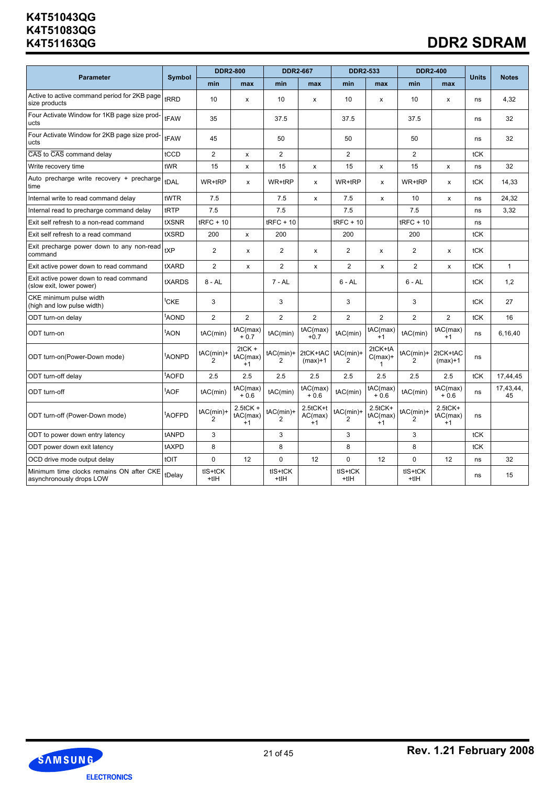# **DDR2 SDRAM**

|                                                                      |                    | <b>DDR2-800</b> |                                 | <b>DDR2-667</b>  |                             | <b>DDR2-533</b>  |                                      | <b>DDR2-400</b> |                                   |              |                 |
|----------------------------------------------------------------------|--------------------|-----------------|---------------------------------|------------------|-----------------------------|------------------|--------------------------------------|-----------------|-----------------------------------|--------------|-----------------|
| <b>Parameter</b>                                                     | <b>Symbol</b>      | min             | max                             | min              | max                         | min              | max                                  | min             | max                               | <b>Units</b> | <b>Notes</b>    |
| Active to active command period for 2KB page<br>size products        | tRRD               | 10              | x                               | 10               | x                           | 10               | x                                    | 10              | x                                 | ns           | 4,32            |
| Four Activate Window for 1KB page size prod-<br>ucts                 | tFAW               | 35              |                                 | 37.5             |                             | 37.5             |                                      | 37.5            |                                   | ns           | 32              |
| Four Activate Window for 2KB page size prod-<br>ucts                 | tFAW               | 45              |                                 | 50               |                             | 50               |                                      | 50              |                                   | ns           | 32              |
| CAS to CAS command delay                                             | tCCD               | $\overline{2}$  | X                               | $\overline{2}$   |                             | $\overline{2}$   |                                      | 2               |                                   | tCK          |                 |
| Write recovery time                                                  | tWR                | 15              | x                               | 15               | x                           | 15               | X                                    | 15              | $\mathsf{x}$                      | ns           | 32              |
| Auto precharge write recovery + precharge<br>time                    | tDAL               | WR+tRP          | x                               | WR+tRP           | x                           | WR+tRP           | x                                    | WR+tRP          | x                                 | tCK          | 14,33           |
| Internal write to read command delay                                 | tWTR               | 7.5             |                                 | 7.5              | X                           | 7.5              | X                                    | 10              | X                                 | ns           | 24,32           |
| Internal read to precharge command delay                             | tRTP               | 7.5             |                                 | 7.5              |                             | 7.5              |                                      | 7.5             |                                   | ns           | 3,32            |
| Exit self refresh to a non-read command                              | tXSNR              | $t$ RFC + 10    |                                 | $tRFC + 10$      |                             | $tRFC + 10$      |                                      | $t$ RFC + 10    |                                   | ns           |                 |
| Exit self refresh to a read command                                  | tXSRD              | 200             | X                               | 200              |                             | 200              |                                      | 200             |                                   | tCK          |                 |
| Exit precharge power down to any non-read<br>command                 | <b>tXP</b>         | $\overline{2}$  | X                               | $\overline{2}$   | X                           | $\overline{2}$   | X                                    | 2               | X                                 | tCK          |                 |
| Exit active power down to read command                               | tXARD              | $\overline{2}$  | x                               | $\overline{2}$   | X                           | $\overline{2}$   | X                                    | $\overline{2}$  | x                                 | tCK          | $\mathbf{1}$    |
| Exit active power down to read command<br>(slow exit, lower power)   | tXARDS             | $8 - AL$        |                                 | $7 - AL$         |                             | $6 - AL$         |                                      | $6 - AL$        |                                   | tCK          | 1,2             |
| CKE minimum pulse width<br>(high and low pulse width)                | <sup>t</sup> CKE   | 3               |                                 | 3                |                             | 3                |                                      | 3               |                                   | tCK          | 27              |
| ODT turn-on delay                                                    | <sup>t</sup> AOND  | $\overline{2}$  | $\overline{2}$                  | $\overline{2}$   | $\overline{2}$              | $\overline{2}$   | $\overline{2}$                       | 2               | $\overline{2}$                    | tCK          | 16              |
| ODT turn-on                                                          | <sup>t</sup> AON   | tAC(min)        | tAC(max)<br>$+0.7$              | tAC(min)         | tAC(max)<br>$+0.7$          | tAC(min)         | tAC(max)<br>$+1$                     | tAC(min)        | tAC(max)<br>$+1$                  | ns           | 6,16,40         |
| ODT turn-on(Power-Down mode)                                         | <sup>t</sup> AONPD | tAC(min)+       | $2tCK +$<br>tAC(max)<br>$+1$    | $tAC(min)+$<br>2 | 2tCK+tAC<br>$(max)+1$       | $tAC(min)+$<br>2 | 2tCK+tA<br>$C(max)+$<br>$\mathbf{1}$ | tAC(min)+<br>2  | 2tCK+tAC<br>$(max)+1$             | ns           |                 |
| ODT turn-off delay                                                   | <sup>t</sup> AOFD  | 2.5             | 2.5                             | 2.5              | 2.5                         | 2.5              | 2.5                                  | 2.5             | 2.5                               | tCK          | 17,44,45        |
| ODT turn-off                                                         | <sup>t</sup> AOF   | tAC(min)        | tAC(max)<br>$+0.6$              | tAC(min)         | tAC(max)<br>$+0.6$          | tAC(min)         | tAC(max)<br>$+0.6$                   | tAC(min)        | tAC(max)<br>$+0.6$                | ns           | 17,43,44,<br>45 |
| ODT turn-off (Power-Down mode)                                       | <sup>t</sup> AOFPD | tAC(min)+<br>2  | $2.5$ tCK +<br>tAC(max)<br>$+1$ | tAC(min)+<br>2   | 2.5tCK+t<br>AC(max)<br>$+1$ | tAC(min)+<br>2   | $2.5$ t $CK+$<br>tAC(max)<br>$+1$    | tAC(min)+<br>2  | $2.5$ t $CK+$<br>tAC(max)<br>$+1$ | ns           |                 |
| ODT to power down entry latency                                      | tANPD              | 3               |                                 | 3                |                             | 3                |                                      | 3               |                                   | tCK          |                 |
| ODT power down exit latency                                          | tAXPD              | 8               |                                 | 8                |                             | 8                |                                      | 8               |                                   | tCK          |                 |
| OCD drive mode output delay                                          | tOIT               | 0               | 12                              | 0                | 12                          | 0                | 12                                   | $\mathbf 0$     | 12                                | ns           | 32              |
| Minimum time clocks remains ON after CKE<br>asynchronously drops LOW | tDelay             | tIS+tCK<br>+tIH |                                 | tIS+tCK<br>$+tH$ |                             | tIS+tCK<br>+tIH  |                                      | tIS+tCK<br>+tIH |                                   | ns           | 15              |

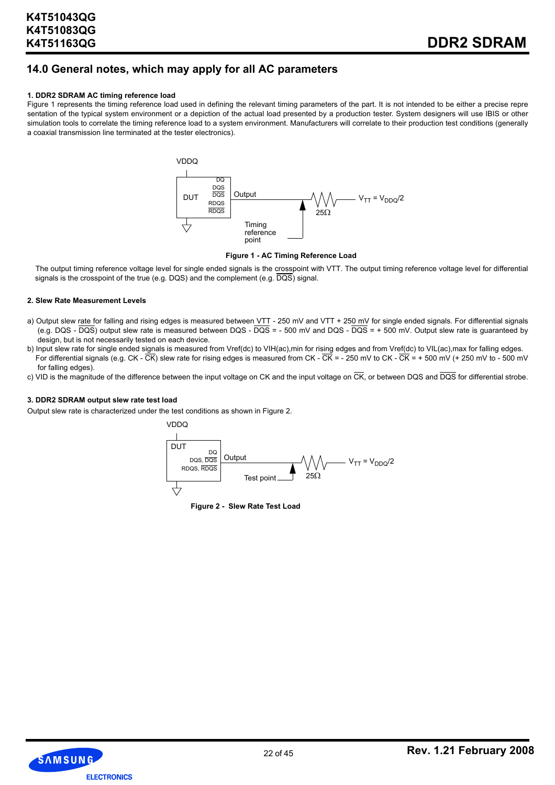# **14.0 General notes, which may apply for all AC parameters**

#### **1. DDR2 SDRAM AC timing reference load**

Figure 1 represents the timing reference load used in defining the relevant timing parameters of the part. It is not intended to be either a precise repre sentation of the typical system environment or a depiction of the actual load presented by a production tester. System designers will use IBIS or other simulation tools to correlate the timing reference load to a system environment. Manufacturers will correlate to their production test conditions (generally a coaxial transmission line terminated at the tester electronics).



**Figure 1 - AC Timing Reference Load**

The output timing reference voltage level for single ended signals is the crosspoint with VTT. The output timing reference voltage level for differential signals is the crosspoint of the true (e.g. DQS) and the complement (e.g. DQS) signal.

#### **2. Slew Rate Measurement Levels**

- a) Output slew rate for falling and rising edges is measured between VTT 250 mV and VTT + 250 mV for single ended signals. For differential signals (e.g. DQS - DQS) output slew rate is measured between DQS - DQS = - 500 mV and DQS - DQS = + 500 mV. Output slew rate is guaranteed by design, but is not necessarily tested on each device.
- b) Input slew rate for single ended signals is measured from Vref(dc) to VIH(ac),min for rising edges and from Vref(dc) to VIL(ac),max for falling edges. For differential signals (e.g. CK -  $\overline{CK}$ ) slew rate for rising edges is measured from CK -  $\overline{CK}$  = - 250 mV to CK -  $\overline{CK}$  = + 500 mV (+ 250 mV to - 500 mV for falling edges).
- c) VID is the magnitude of the difference between the input voltage on CK and the input voltage on  $\overline{CK}$ , or between DQS and  $\overline{DQS}$  for differential strobe.

#### **3. DDR2 SDRAM output slew rate test load**

Output slew rate is characterized under the test conditions as shown in Figure 2.



**Figure 2 - Slew Rate Test Load**

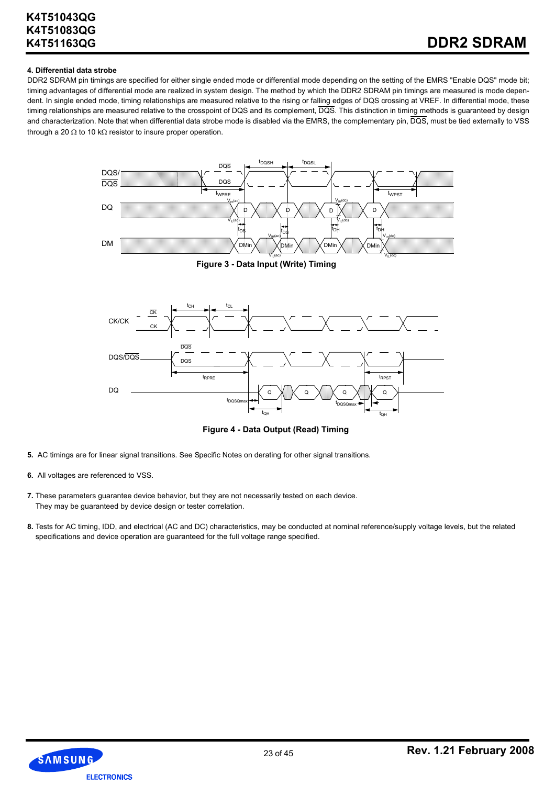#### **4. Differential data strobe**

DDR2 SDRAM pin timings are specified for either single ended mode or differential mode depending on the setting of the EMRS "Enable DQS" mode bit; timing advantages of differential mode are realized in system design. The method by which the DDR2 SDRAM pin timings are measured is mode dependent. In single ended mode, timing relationships are measured relative to the rising or falling edges of DQS crossing at VREF. In differential mode, these timing relationships are measured relative to the crosspoint of DQS and its complement,  $\overline{DQS}$ . This distinction in timing methods is guaranteed by design and characterization. Note that when differential data strobe mode is disabled via the EMRS, the complementary pin,  $\overline{DQS}$ , must be tied externally to VSS through a 20  $\Omega$  to 10 k $\Omega$  resistor to insure proper operation.



**Figure 3 - Data Input (Write) Timing**



**Figure 4 - Data Output (Read) Timing**

- **5.** AC timings are for linear signal transitions. See Specific Notes on derating for other signal transitions.
- **6.** All voltages are referenced to VSS.
- **7.** These parameters guarantee device behavior, but they are not necessarily tested on each device. They may be guaranteed by device design or tester correlation.
- **8.** Tests for AC timing, IDD, and electrical (AC and DC) characteristics, may be conducted at nominal reference/supply voltage levels, but the related specifications and device operation are guaranteed for the full voltage range specified.

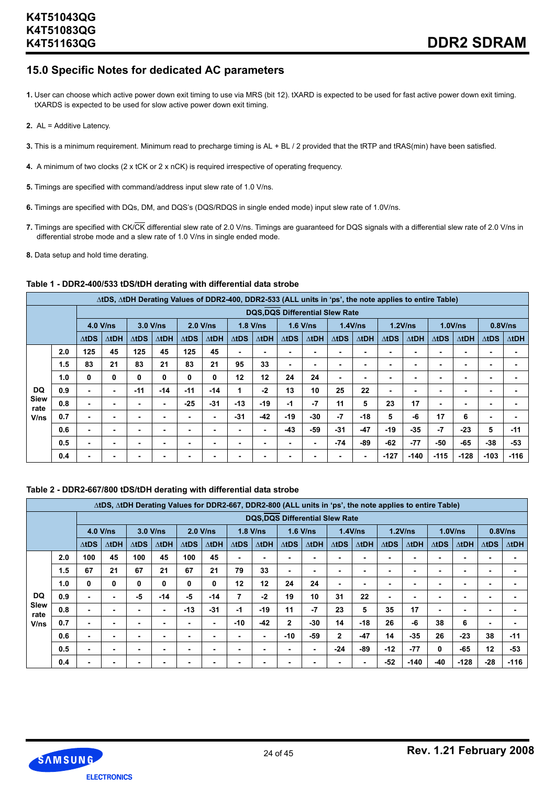# **15.0 Specific Notes for dedicated AC parameters**

- **1.** User can choose which active power down exit timing to use via MRS (bit 12). tXARD is expected to be used for fast active power down exit timing. tXARDS is expected to be used for slow active power down exit timing.
- **2.** AL = Additive Latency.
- **3.** This is a minimum requirement. Minimum read to precharge timing is AL + BL / 2 provided that the tRTP and tRAS(min) have been satisfied.
- **4.** A minimum of two clocks (2 x tCK or 2 x nCK) is required irrespective of operating frequency.
- **5.** Timings are specified with command/address input slew rate of 1.0 V/ns.
- **6.** Timings are specified with DQs, DM, and DQS's (DQS/RDQS in single ended mode) input slew rate of 1.0V/ns.
- **7.** Timings are specified with CK/CK differential slew rate of 2.0 V/ns. Timings are guaranteed for DQS signals with a differential slew rate of 2.0 V/ns in differential strobe mode and a slew rate of 1.0 V/ns in single ended mode.
- **8.** Data setup and hold time derating.

#### **Table 1 - DDR2-400/533 tDS/tDH derating with differential data strobe**

|                     |     |              |               |              |               |              | AtDS, AtDH Derating Values of DDR2-400, DDR2-533 (ALL units in 'ps', the note applies to entire Table) |               |              |              |                                       |              |                          |                          |               |              |              |              |              |
|---------------------|-----|--------------|---------------|--------------|---------------|--------------|--------------------------------------------------------------------------------------------------------|---------------|--------------|--------------|---------------------------------------|--------------|--------------------------|--------------------------|---------------|--------------|--------------|--------------|--------------|
|                     |     |              |               |              |               |              |                                                                                                        |               |              |              | <b>DQS,DQS Differential Slew Rate</b> |              |                          |                          |               |              |              |              |              |
|                     |     | $4.0$ V/ns   |               | $3.0$ V/ns   |               | $2.0$ V/ns   |                                                                                                        | $1.8$ V/ns    |              | $1.6$ V/ns   |                                       | $1.4$ V/ns   |                          |                          | 1.2V/ns       |              | 1.0V/ns      | 0.8V/ns      |              |
|                     |     | $\Delta$ tDS | $\Delta t$ DH | $\Delta$ tDS | $\Delta t$ DH | $\Delta$ tDS | $\Delta t$ DH                                                                                          | $\Delta t$ DS | $\Delta$ tDH | $\Delta$ tDS | $\Delta$ tDH                          | $\Delta$ tDS | $\Delta t$ DH            | $\Delta$ tDS             | $\Delta t$ DH | $\Delta$ tDS | $\Delta$ tDH | $\Delta$ tDS | $\Delta$ tDH |
|                     | 2.0 | 125          | 45            | 125          | 45            | 125          | 45                                                                                                     | ۰             | ۰            |              |                                       |              | $\overline{\phantom{a}}$ | $\overline{\phantom{0}}$ |               |              |              |              |              |
|                     | 1.5 | 83           | 21            | 83           | 21            | 83           | 21                                                                                                     | 95            | 33           | ۰            |                                       |              | ۰                        | $\overline{\phantom{0}}$ | ۰.            |              | ۰            | ۰            |              |
|                     | 1.0 | 0            | 0             | 0            | 0             | 0            | 0                                                                                                      | 12            | 12           | 24           | 24                                    | ٠            | ۰                        | ٠                        |               | ۰            | ۰            | ۰            |              |
| <b>DQ</b>           | 0.9 | ٠            |               | $-11$        | $-14$         | $-11$        | $-14$                                                                                                  | 1             | -2           | 13           | 10                                    | 25           | 22                       | ٠                        |               |              | ٠            |              |              |
| <b>Siew</b><br>rate | 0.8 |              |               |              | ٠             | $-25$        | $-31$                                                                                                  | $-13$         | -19          | $-1$         | $-7$                                  | 11           | 5                        | 23                       | 17            |              | ۰            | -            |              |
| V/ns                | 0.7 |              |               |              |               |              | ۰.                                                                                                     | $-31$         | $-42$        | $-19$        | -30                                   | $-7$         | -18                      | 5                        | -6            | 17           | 6            | ۰            |              |
|                     | 0.6 | ۰.           |               |              | ۰             |              | ۰.                                                                                                     | ۰             | ۰.           | $-43$        | -59                                   | $-31$        | $-47$                    | $-19$                    | $-35$         | $-7$         | $-23$        | 5            | $-11$        |
|                     | 0.5 | ۰.           |               |              |               | ۰            |                                                                                                        | ۰             |              | ۰            |                                       | $-74$        | $-89$                    | $-62$                    | $-77$         | -50          | $-65$        | $-38$        | $-53$        |
|                     | 0.4 |              |               | ۰            | ۰             |              |                                                                                                        |               | ۰            |              |                                       |              | $\blacksquare$           | $-127$                   | $-140$        | $-115$       | $-128$       | $-103$       | $-116$       |

#### **Table 2 - DDR2-667/800 tDS/tDH derating with differential data strobe**

|              |     |               | ∆tDS, ∆tDH Derating Values for DDR2-667, DDR2-800 (ALL units in 'ps', the note applies to entire Table) |              |               |              |               |              |                                       |              |               |                          |              |              |               |              |               |                 |              |
|--------------|-----|---------------|---------------------------------------------------------------------------------------------------------|--------------|---------------|--------------|---------------|--------------|---------------------------------------|--------------|---------------|--------------------------|--------------|--------------|---------------|--------------|---------------|-----------------|--------------|
|              |     |               |                                                                                                         |              |               |              |               |              | <b>DQS,DQS Differential Slew Rate</b> |              |               |                          |              |              |               |              |               |                 |              |
|              |     |               | $4.0$ V/ns                                                                                              |              | $3.0$ V/ns    | $2.0$ V/ns   |               | $1.8$ V/ns   |                                       | $1.6$ V/ns   |               | 1.4V/ns                  |              | 1.2V/ns      |               |              | 1.0V/ns       |                 | $0.8$ V/ns   |
|              |     | $\Delta t$ DS | $\Delta t$ DH                                                                                           | $\Delta$ tDS | $\Delta t$ DH | $\Delta$ tDS | $\Delta t$ DH | $\Delta$ tDS | $\Delta t$ DH                         | $\Delta$ tDS | $\Delta t$ DH | $\triangle$ tDS          | $\Delta$ tDH | $\Delta$ tDS | $\Delta t$ DH | $\Delta$ tDS | $\Delta t$ DH | $\triangle$ tDS | $\Delta$ tDH |
|              | 2.0 | 100           | 45                                                                                                      | 100          | 45            | 100          | 45            |              | ۰                                     | ۰            |               | ۰                        |              |              |               | ۰            | -             |                 |              |
|              | 1.5 | 67            | 21                                                                                                      | 67           | 21            | 67           | 21            | 79           | 33                                    | ۰            |               | $\overline{\phantom{0}}$ |              |              |               |              | ۰             | ۰               |              |
|              | 1.0 | 0             | 0                                                                                                       | 0            | 0             | 0            | 0             | 12           | 12                                    | 24           | 24            | $\overline{\phantom{0}}$ |              |              |               | ۰            |               |                 |              |
| <b>DQ</b>    | 0.9 | ۰             |                                                                                                         | -5           | $-14$         | -5           | $-14$         | 7            | $-2$                                  | 19           | 10            | 31                       | 22           | ۰            |               | ۰            | ۰             |                 |              |
| Slew<br>rate | 0.8 | ۰             |                                                                                                         |              | ٠             | $-13$        | $-31$         | $-1$         | $-19$                                 | 11           | $-7$          | 23                       | 5            | 35           | 17            | ۰.           |               |                 |              |
| V/ns         | 0.7 | ۰             | ۰                                                                                                       | ٠            | ٠             | ۰            | ۰.            | $-10$        | $-42$                                 | 2            | $-30$         | 14                       | $-18$        | 26           | -6            | 38           | 6             |                 |              |
|              | 0.6 |               |                                                                                                         | ۰            | ۰             | ۰            |               |              | ۰                                     | $-10$        | -59           | $\overline{2}$           | $-47$        | 14           | $-35$         | 26           | $-23$         | 38              | $-11$        |
|              | 0.5 |               |                                                                                                         | ۰            | ٠             |              |               |              |                                       |              | ۰.            | $-24$                    | -89          | $-12$        | $-77$         | 0            | $-65$         | 12              | $-53$        |
|              | 0.4 |               |                                                                                                         |              | ۰             |              |               |              |                                       |              |               |                          |              | $-52$        | $-140$        | -40          | $-128$        | $-28$           | $-116$       |

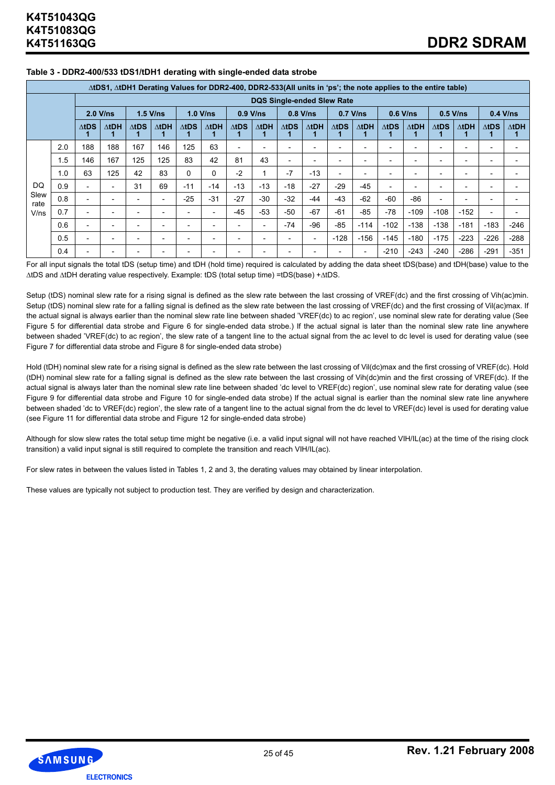|              |     |                          |              |                          | $\triangle$ tDS1, $\triangle$ tDH1 Derating Values for DDR2-400, DDR2-533(All units in 'ps'; the note applies to the entire table) |                          |               |                          |                          |                          |                                   |                          |                          |                          |              |                          |                          |              |              |
|--------------|-----|--------------------------|--------------|--------------------------|------------------------------------------------------------------------------------------------------------------------------------|--------------------------|---------------|--------------------------|--------------------------|--------------------------|-----------------------------------|--------------------------|--------------------------|--------------------------|--------------|--------------------------|--------------------------|--------------|--------------|
|              |     |                          |              |                          |                                                                                                                                    |                          |               |                          |                          |                          | <b>DQS Single-ended Slew Rate</b> |                          |                          |                          |              |                          |                          |              |              |
|              |     |                          | $2.0$ V/ns   |                          | $1.5$ V/ns                                                                                                                         | 1.0 V/ns                 |               |                          | $0.9$ V/ns               |                          | $0.8$ V/ns                        | $0.7$ V/ns               |                          |                          | $0.6$ V/ns   | $0.5$ V/ns               |                          |              | $0.4$ V/ns   |
|              |     | $\Delta$ tDS             | $\Delta$ tDH | $\Delta$ tDS             | $\Delta t$ DH                                                                                                                      | $\Delta$ tDS             | $\Delta t$ DH | $\Delta$ tDS             | $\Delta t$ DH            | $\Delta$ tDS             | $\Delta$ tDH                      | $\triangle$ tDS          | $\Delta$ tDH             | $\Delta$ tDS             | $\Delta$ tDH | $\Delta$ tDS             | $\Delta$ tDH             | $\Delta$ tDS | $\Delta$ tDH |
|              | 2.0 | 188                      | 188          | 167                      | 146                                                                                                                                | 125                      | 63            | $\overline{\phantom{a}}$ |                          |                          |                                   |                          |                          |                          |              |                          |                          |              |              |
|              | 1.5 | 146                      | 167          | 125                      | 125                                                                                                                                | 83                       | 42            | 81                       | 43                       | $\overline{\phantom{0}}$ |                                   | $\overline{\phantom{0}}$ | $\overline{\phantom{a}}$ | $\overline{\phantom{a}}$ |              | $\overline{\phantom{0}}$ | $\overline{\phantom{0}}$ |              |              |
|              | 1.0 | 63                       | 125          | 42                       | 83                                                                                                                                 | 0                        | 0             | $-2$                     |                          | $-7$                     | $-13$                             | $\overline{\phantom{0}}$ | $\overline{\phantom{a}}$ |                          |              |                          |                          |              |              |
| DQ           | 0.9 |                          |              | 31                       | 69                                                                                                                                 | $-11$                    | $-14$         | $-13$                    | $-13$                    | $-18$                    | $-27$                             | -29                      | -45                      | $\overline{\phantom{0}}$ |              |                          |                          |              |              |
| Slew<br>rate | 0.8 |                          |              | $\overline{\phantom{0}}$ | $\overline{\phantom{0}}$                                                                                                           | $-25$                    | $-31$         | $-27$                    | $-30$                    | $-32$                    | $-44$                             | $-43$                    | $-62$                    | $-60$                    | $-86$        | $\overline{\phantom{a}}$ |                          |              |              |
| V/ns         | 0.7 |                          |              | $\overline{\phantom{0}}$ |                                                                                                                                    |                          |               | $-45$                    | $-53$                    | $-50$                    | $-67$                             | $-61$                    | $-85$                    | $-78$                    | $-109$       | $-108$                   | $-152$                   |              |              |
|              | 0.6 | $\overline{\phantom{0}}$ |              | $\overline{\phantom{0}}$ | $\overline{\phantom{a}}$                                                                                                           | $\overline{\phantom{0}}$ |               | $\overline{\phantom{a}}$ | $\overline{\phantom{a}}$ | $-74$                    | $-96$                             | -85                      | $-114$                   | $-102$                   | $-138$       | $-138$                   | $-181$                   | $-183$       | $-246$       |
|              | 0.5 |                          |              | $\overline{\phantom{0}}$ | $\overline{\phantom{0}}$                                                                                                           |                          |               | $\overline{\phantom{a}}$ |                          |                          | $\overline{\phantom{0}}$          | $-128$                   | $-156$                   | $-145$                   | $-180$       | $-175$                   | $-223$                   | $-226$       | $-288$       |
|              | 0.4 |                          |              |                          |                                                                                                                                    |                          |               |                          |                          |                          |                                   |                          |                          | $-210$                   | $-243$       | $-240$                   | $-286$                   | $-291$       | $-351$       |

#### **Table 3 - DDR2-400/533 tDS1/tDH1 derating with single-ended data strobe**

For all input signals the total tDS (setup time) and tDH (hold time) required is calculated by adding the data sheet tDS(base) and tDH(base) value to the ∆tDS and ∆tDH derating value respectively. Example: tDS (total setup time) =tDS(base) +∆tDS.

Setup (tDS) nominal slew rate for a rising signal is defined as the slew rate between the last crossing of VREF(dc) and the first crossing of Vih(ac)min. Setup (tDS) nominal slew rate for a falling signal is defined as the slew rate between the last crossing of VREF(dc) and the first crossing of Vil(ac)max. If the actual signal is always earlier than the nominal slew rate line between shaded 'VREF(dc) to ac region', use nominal slew rate for derating value (See Figure 5 for differential data strobe and Figure 6 for single-ended data strobe.) If the actual signal is later than the nominal slew rate line anywhere between shaded 'VREF(dc) to ac region', the slew rate of a tangent line to the actual signal from the ac level to dc level is used for derating value (see Figure 7 for differential data strobe and Figure 8 for single-ended data strobe)

Hold (tDH) nominal slew rate for a rising signal is defined as the slew rate between the last crossing of Vil(dc)max and the first crossing of VREF(dc). Hold (tDH) nominal slew rate for a falling signal is defined as the slew rate between the last crossing of Vih(dc)min and the first crossing of VREF(dc). If the actual signal is always later than the nominal slew rate line between shaded 'dc level to VREF(dc) region', use nominal slew rate for derating value (see Figure 9 for differential data strobe and Figure 10 for single-ended data strobe) If the actual signal is earlier than the nominal slew rate line anywhere between shaded 'dc to VREF(dc) region', the slew rate of a tangent line to the actual signal from the dc level to VREF(dc) level is used for derating value (see Figure 11 for differential data strobe and Figure 12 for single-ended data strobe)

Although for slow slew rates the total setup time might be negative (i.e. a valid input signal will not have reached VIH/IL(ac) at the time of the rising clock transition) a valid input signal is still required to complete the transition and reach VIH/IL(ac).

For slew rates in between the values listed in Tables 1, 2 and 3, the derating values may obtained by linear interpolation.

These values are typically not subject to production test. They are verified by design and characterization.

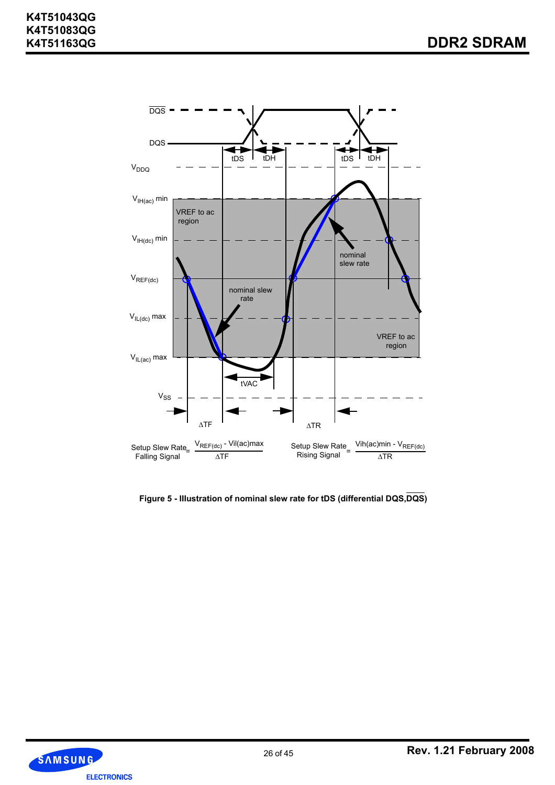

**Figure 5 - IIIustration of nominal slew rate for tDS (differential DQS,DQS)**

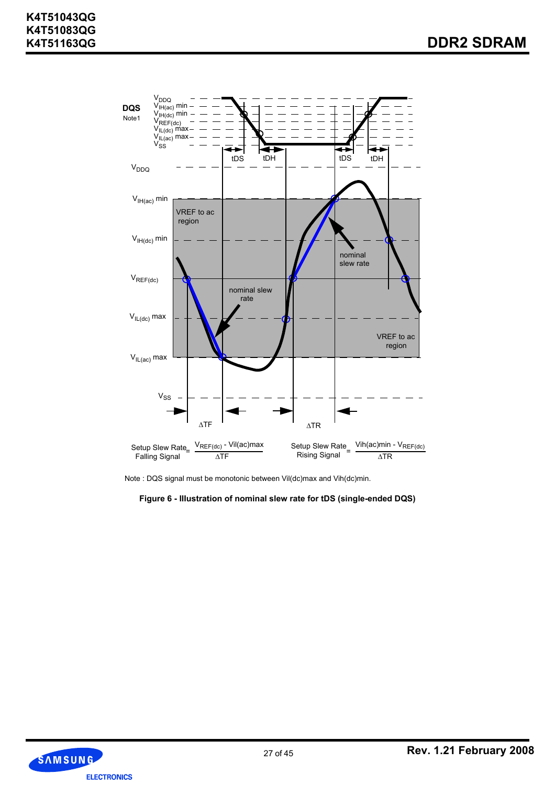

Note : DQS signal must be monotonic between Vil(dc)max and Vih(dc)min.

**Figure 6 - IIIustration of nominal slew rate for tDS (single-ended DQS)**

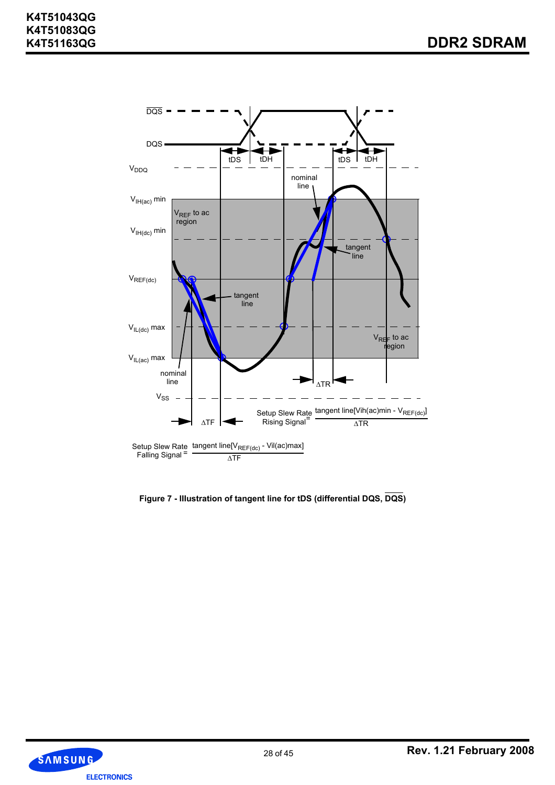

**Figure 7 - IIIustration of tangent line for tDS (differential DQS, DQS)**

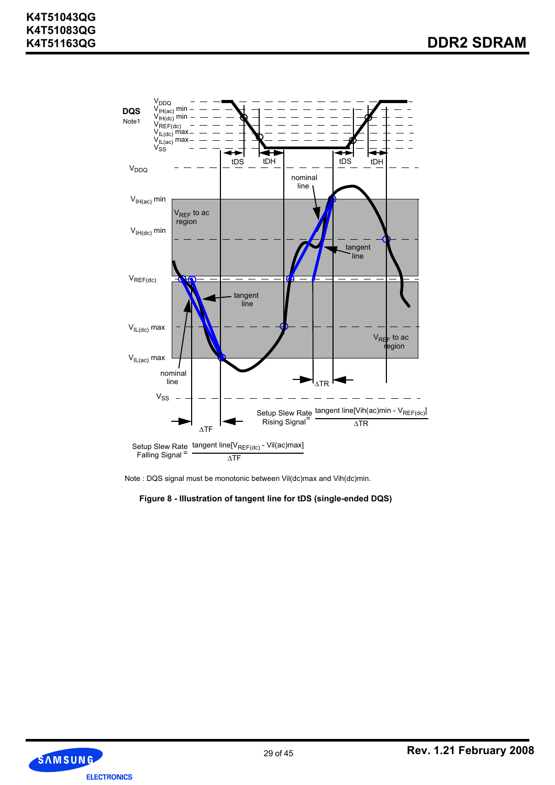

Note : DQS signal must be monotonic between Vil(dc)max and Vih(dc)min.

**Figure 8 - IIIustration of tangent line for tDS (single-ended DQS)**

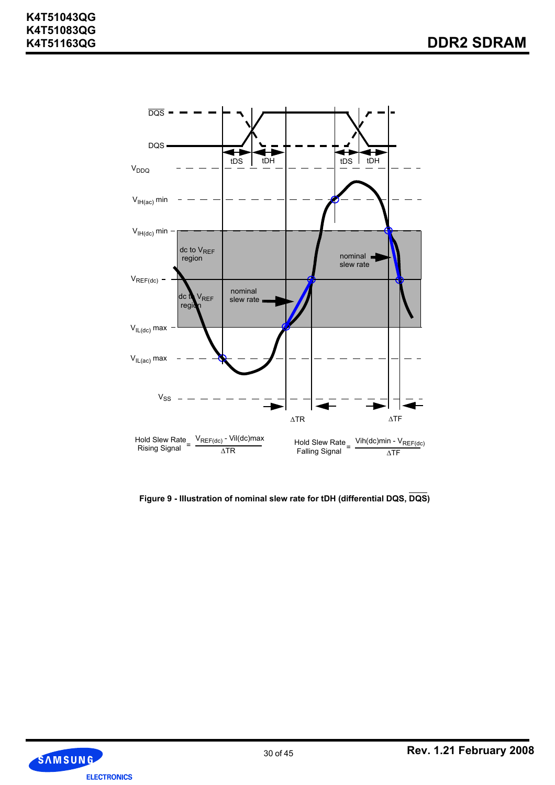

**Figure 9 - IIIustration of nominal slew rate for tDH (differential DQS, DQS)**

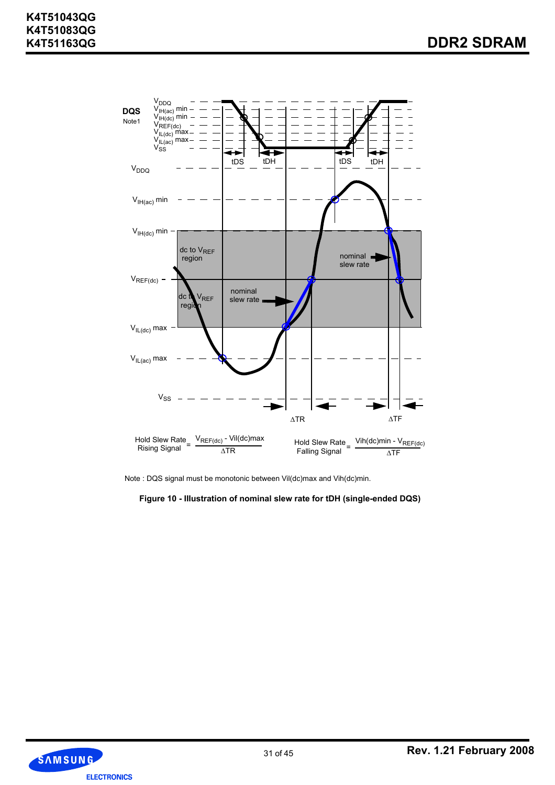

Note : DQS signal must be monotonic between Vil(dc)max and Vih(dc)min.

**Figure 10 - IIIustration of nominal slew rate for tDH (single-ended DQS)**

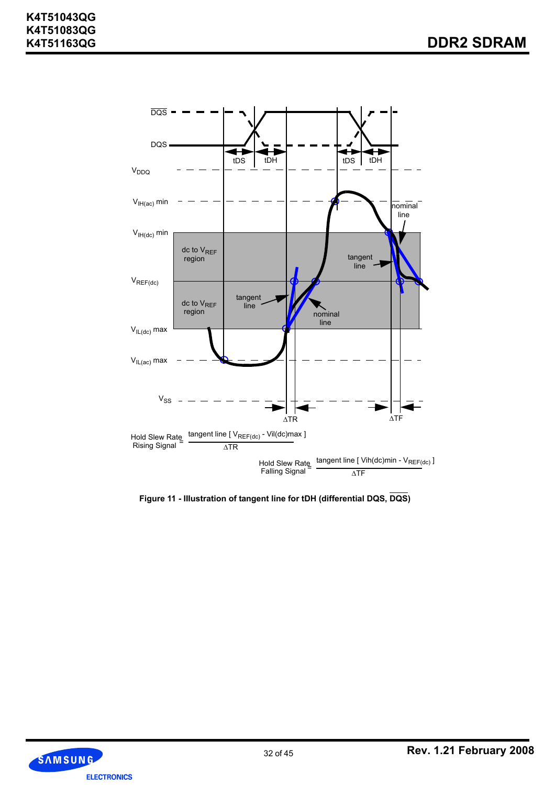

**Figure 11 - IIIustration of tangent line for tDH (differential DQS, DQS)**

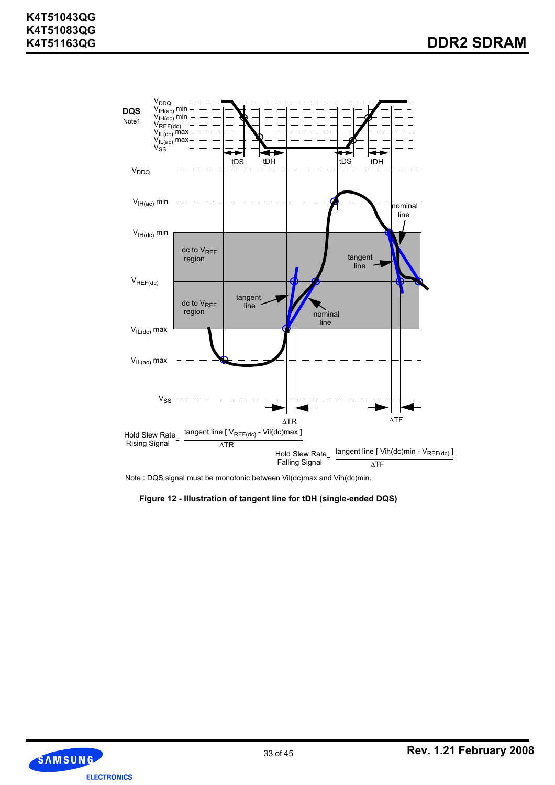

Note : DQS signal must be monotonic between Vil(dc)max and Vih(dc)min.

#### **Figure 12 - IIIustration of tangent line for tDH (single-ended DQS)**

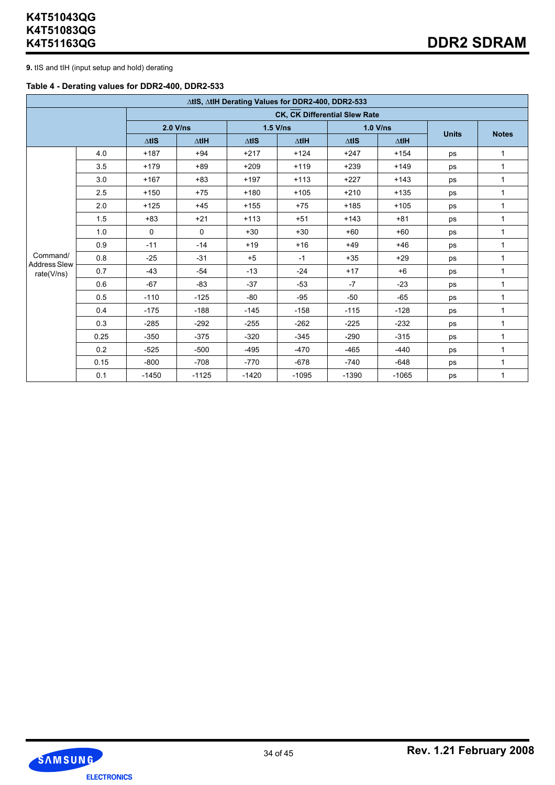**9.** tIS and tIH (input setup and hold) derating

#### **Table 4 - Derating values for DDR2-400, DDR2-533**

|                                 |      |                  |                 |               | ∆tlS, ∆tlH Derating Values for DDR2-400, DDR2-533 |              |                 |              |              |
|---------------------------------|------|------------------|-----------------|---------------|---------------------------------------------------|--------------|-----------------|--------------|--------------|
|                                 |      |                  |                 |               | CK, CK Differential Slew Rate                     |              |                 |              |              |
|                                 |      | $2.0$ V/ns       |                 |               | $1.5$ V/ns                                        | 1.0 V/ns     |                 |              |              |
|                                 |      | $\triangle t$ IS | $\triangle$ tlH | $\Delta t$ IS | $\triangle$ tlH                                   | $\Delta$ tis | $\triangle$ tlH | <b>Units</b> | <b>Notes</b> |
|                                 | 4.0  | $+187$           | $+94$           | $+217$        | $+124$                                            | $+247$       | $+154$          | ps           | $\mathbf{1}$ |
|                                 | 3.5  | $+179$           | $+89$           | $+209$        | $+119$                                            | $+239$       | $+149$          | ps           | 1            |
|                                 | 3.0  | $+167$           | $+83$           | $+197$        | $+113$                                            | $+227$       | $+143$          | ps           | $\mathbf{1}$ |
|                                 | 2.5  | $+150$           | $+75$           | $+180$        | $+105$                                            | $+210$       | $+135$          | ps           | $\mathbf{1}$ |
|                                 | 2.0  | $+125$           | $+45$           | $+155$        | $+75$                                             | $+185$       | $+105$          | ps           | 1            |
|                                 | 1.5  | $+83$            | $+21$           | $+113$        | $+51$                                             | $+143$       | $+81$           | ps           | 1            |
|                                 | 1.0  | $\mathbf 0$      | $\mathbf 0$     | $+30$         | $+30$                                             | $+60$        | $+60$           | ps           | 1            |
|                                 | 0.9  | $-11$            | $-14$           | $+19$         | $+16$                                             | $+49$        | $+46$           | ps           | 1            |
| Command/<br><b>Address Slew</b> | 0.8  | $-25$            | $-31$           | $+5$          | $-1$                                              | $+35$        | $+29$           | ps           | 1            |
| rate(V/ns)                      | 0.7  | $-43$            | $-54$           | $-13$         | $-24$                                             | $+17$        | $+6$            | ps           | 1            |
|                                 | 0.6  | $-67$            | $-83$           | $-37$         | $-53$                                             | $-7$         | $-23$           | ps           | $\mathbf{1}$ |
|                                 | 0.5  | $-110$           | $-125$          | $-80$         | $-95$                                             | $-50$        | $-65$           | ps           | $\mathbf{1}$ |
|                                 | 0.4  | $-175$           | $-188$          | $-145$        | $-158$                                            | $-115$       | $-128$          | ps           | $\mathbf{1}$ |
|                                 | 0.3  | $-285$           | $-292$          | $-255$        | $-262$                                            | $-225$       | $-232$          | ps           | $\mathbf{1}$ |
|                                 | 0.25 | $-350$           | $-375$          | $-320$        | $-345$                                            | $-290$       | $-315$          | ps           | 1            |
|                                 | 0.2  | $-525$           | $-500$          | $-495$        | $-470$                                            | $-465$       | $-440$          | ps           | 1            |
|                                 | 0.15 | $-800$           | $-708$          | $-770$        | $-678$                                            | $-740$       | $-648$          | ps           | $\mathbf{1}$ |
|                                 | 0.1  | $-1450$          | $-1125$         | $-1420$       | $-1095$                                           | $-1390$      | $-1065$         | ps           | 1            |

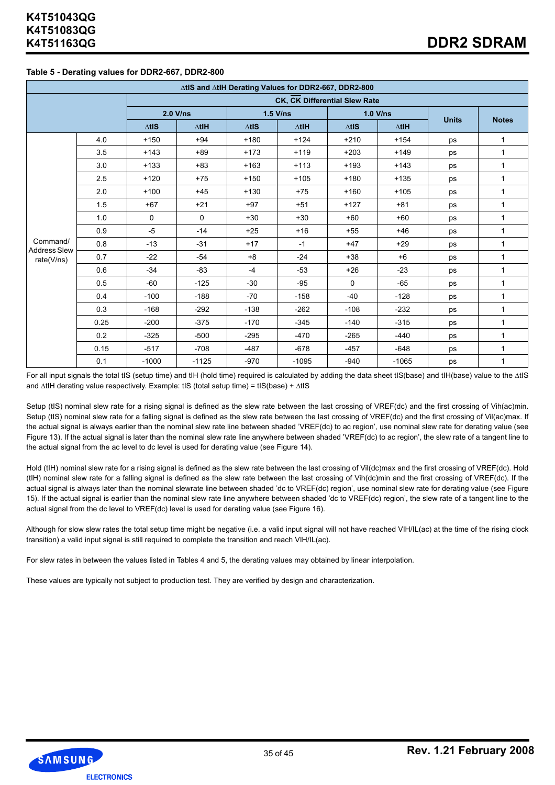#### **Table 5 - Derating values for DDR2-667, DDR2-800**

|                                 |      |               |                 | ∆tlS and ∆tlH Derating Values for DDR2-667, DDR2-800 |                               |              |                 |              |              |
|---------------------------------|------|---------------|-----------------|------------------------------------------------------|-------------------------------|--------------|-----------------|--------------|--------------|
|                                 |      |               |                 |                                                      | CK, CK Differential Slew Rate |              |                 |              |              |
|                                 |      |               | $2.0$ V/ns      |                                                      | $1.5$ V/ns                    | $1.0$ V/ns   |                 | <b>Units</b> | <b>Notes</b> |
|                                 |      | $\Delta t$ IS | $\triangle$ tlH | $\Delta t$ <sub>IS</sub>                             | $\Delta$ tlH                  | $\Delta$ tis | $\triangle$ tlH |              |              |
|                                 | 4.0  | $+150$        | $+94$           | $+180$                                               | $+124$                        | $+210$       | $+154$          | ps           | $\mathbf{1}$ |
|                                 | 3.5  | $+143$        | $+89$           | $+173$                                               | $+119$                        | $+203$       | $+149$          | ps           | 1            |
|                                 | 3.0  | $+133$        | $+83$           | $+163$                                               | $+113$                        | $+193$       | $+143$          | ps           | $\mathbf{1}$ |
|                                 | 2.5  | $+120$        | $+75$           | $+150$                                               | $+105$                        | $+180$       | $+135$          | ps           | 1            |
|                                 | 2.0  | $+100$        | $+45$           | $+130$                                               | $+75$                         | $+160$       | $+105$          | ps           | 1            |
|                                 | 1.5  | $+67$         | $+21$           | $+97$                                                | $+51$                         | $+127$       | $+81$           | ps           | $\mathbf{1}$ |
|                                 | 1.0  | $\Omega$      | 0               | $+30$                                                | $+30$                         | $+60$        | $+60$           | ps           | 1            |
|                                 | 0.9  | $-5$          | $-14$           | $+25$                                                | $+16$                         | $+55$        | $+46$           | ps           | 1            |
| Command/<br><b>Address Slew</b> | 0.8  | $-13$         | $-31$           | $+17$                                                | $-1$                          | $+47$        | $+29$           | ps           | $\mathbf{1}$ |
| rate(V/ns)                      | 0.7  | $-22$         | $-54$           | $+8$                                                 | $-24$                         | $+38$        | $+6$            | ps           | $\mathbf{1}$ |
|                                 | 0.6  | $-34$         | $-83$           | $-4$                                                 | $-53$                         | $+26$        | $-23$           | ps           | 1            |
|                                 | 0.5  | $-60$         | $-125$          | $-30$                                                | $-95$                         | $\Omega$     | $-65$           | ps           | 1            |
|                                 | 0.4  | $-100$        | $-188$          | $-70$                                                | $-158$                        | $-40$        | $-128$          | ps           | $\mathbf{1}$ |
|                                 | 0.3  | $-168$        | $-292$          | $-138$                                               | $-262$                        | $-108$       | $-232$          | ps           | $\mathbf{1}$ |
|                                 | 0.25 | $-200$        | $-375$          | $-170$                                               | $-345$                        | $-140$       | $-315$          | ps           | 1            |
|                                 | 0.2  | $-325$        | $-500$          | $-295$                                               | $-470$                        | $-265$       | $-440$          | ps           | $\mathbf{1}$ |
|                                 | 0.15 | $-517$        | $-708$          | $-487$                                               | $-678$                        | $-457$       | $-648$          | ps           | $\mathbf{1}$ |
|                                 | 0.1  | $-1000$       | $-1125$         | $-970$                                               | $-1095$                       | $-940$       | $-1065$         | ps           | 1            |

For all input signals the total tIS (setup time) and tIH (hold time) required is calculated by adding the data sheet tIS(base) and tIH(base) value to the ∆tIS and ∆tIH derating value respectively. Example: tIS (total setup time) = tIS(base) + ∆tIS

Setup (tIS) nominal slew rate for a rising signal is defined as the slew rate between the last crossing of VREF(dc) and the first crossing of Vih(ac)min. Setup (tIS) nominal slew rate for a falling signal is defined as the slew rate between the last crossing of VREF(dc) and the first crossing of Vil(ac)max. If the actual signal is always earlier than the nominal slew rate line between shaded 'VREF(dc) to ac region', use nominal slew rate for derating value (see Figure 13). If the actual signal is later than the nominal slew rate line anywhere between shaded 'VREF(dc) to ac region', the slew rate of a tangent line to the actual signal from the ac level to dc level is used for derating value (see Figure 14).

Hold (tlH) nominal slew rate for a rising signal is defined as the slew rate between the last crossing of Vil(dc)max and the first crossing of VREF(dc). Hold (tIH) nominal slew rate for a falling signal is defined as the slew rate between the last crossing of Vih(dc)min and the first crossing of VREF(dc). If the actual signal is always later than the nominal slewrate line between shaded 'dc to VREF(dc) region', use nominal slew rate for derating value (see Figure 15). If the actual signal is earlier than the nominal slew rate line anywhere between shaded 'dc to VREF(dc) region', the slew rate of a tangent line to the actual signal from the dc level to VREF(dc) level is used for derating value (see Figure 16).

Although for slow slew rates the total setup time might be negative (i.e. a valid input signal will not have reached VIH/IL(ac) at the time of the rising clock transition) a valid input signal is still required to complete the transition and reach VIH/IL(ac).

For slew rates in between the values listed in Tables 4 and 5, the derating values may obtained by linear interpolation.

These values are typically not subject to production test. They are verified by design and characterization.

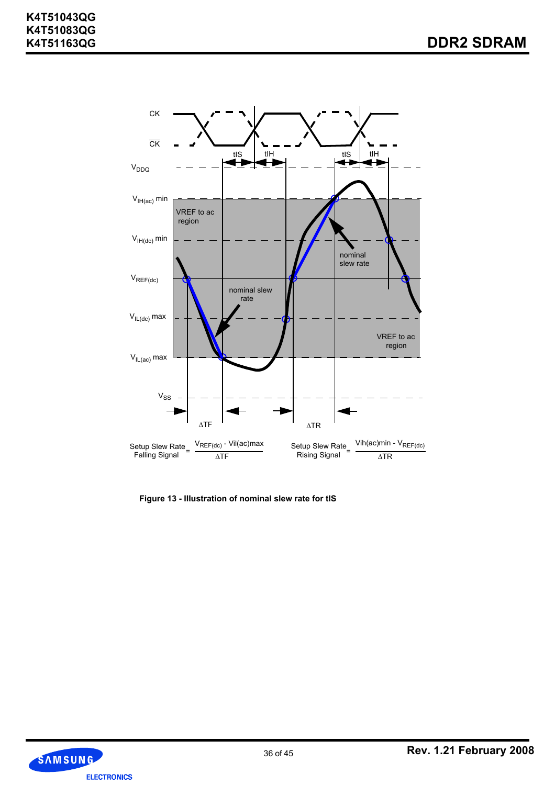

**Figure 13 - IIIustration of nominal slew rate for tIS**

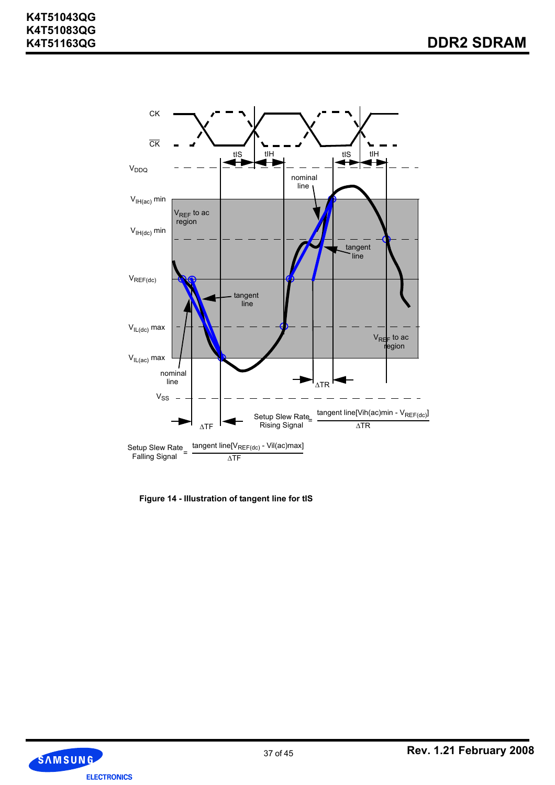

**Figure 14 - IIIustration of tangent line for tIS**

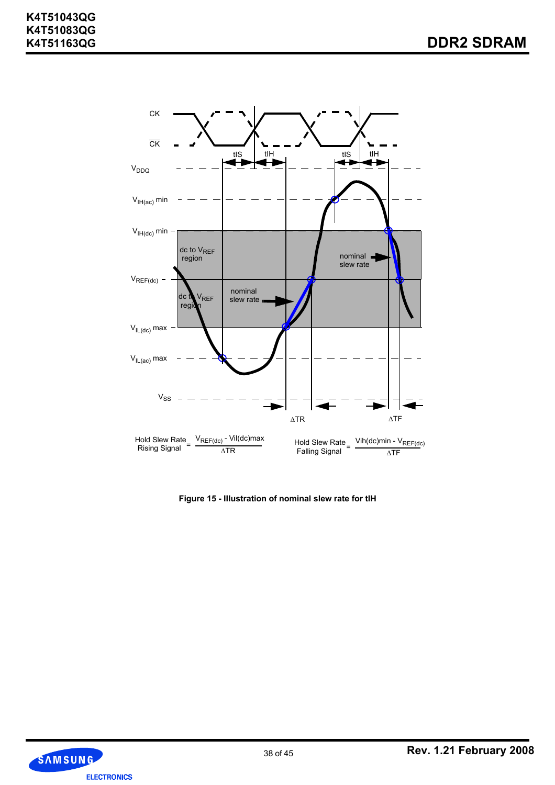

**Figure 15 - IIIustration of nominal slew rate for tIH**

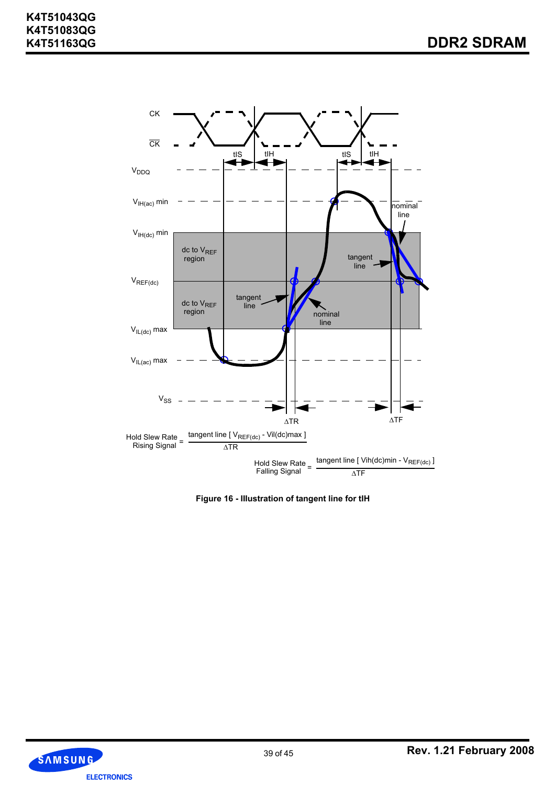

**Figure 16 - IIIustration of tangent line for tIH**

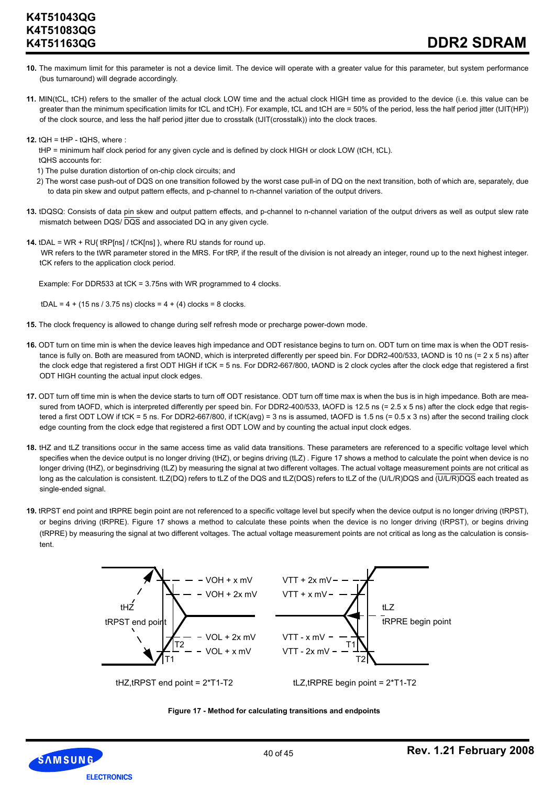- **10.** The maximum limit for this parameter is not a device limit. The device will operate with a greater value for this parameter, but system performance (bus turnaround) will degrade accordingly.
- **11.** MIN(tCL, tCH) refers to the smaller of the actual clock LOW time and the actual clock HIGH time as provided to the device (i.e. this value can be greater than the minimum specification limits for tCL and tCH). For example, tCL and tCH are = 50% of the period, less the half period jitter (tJIT(HP)) of the clock source, and less the half period jitter due to crosstalk (tJIT(crosstalk)) into the clock traces.
- **12.** tQH = tHP tQHS, where :
	- tHP = minimum half clock period for any given cycle and is defined by clock HIGH or clock LOW (tCH, tCL).
	- tQHS accounts for:
	- 1) The pulse duration distortion of on-chip clock circuits; and
	- 2) The worst case push-out of DQS on one transition followed by the worst case pull-in of DQ on the next transition, both of which are, separately, due to data pin skew and output pattern effects, and p-channel to n-channel variation of the output drivers.
- **13.** tDQSQ: Consists of data pin skew and output pattern effects, and p-channel to n-channel variation of the output drivers as well as output slew rate mismatch between DQS/ DQS and associated DQ in any given cycle.
- **14.** tDAL = WR + RU{ tRP[ns] / tCK[ns] }, where RU stands for round up. WR refers to the tWR parameter stored in the MRS. For tRP, if the result of the division is not already an integer, round up to the next highest integer. tCK refers to the application clock period.

Example: For DDR533 at tCK = 3.75ns with WR programmed to 4 clocks.

 $tDAL = 4 + (15 \text{ ns} / 3.75 \text{ ns})$  clocks =  $4 + (4)$  clocks = 8 clocks.

- **15.** The clock frequency is allowed to change during self refresh mode or precharge power-down mode.
- **16.** ODT turn on time min is when the device leaves high impedance and ODT resistance begins to turn on. ODT turn on time max is when the ODT resistance is fully on. Both are measured from tAOND, which is interpreted differently per speed bin. For DDR2-400/533, tAOND is 10 ns (= 2 x 5 ns) after the clock edge that registered a first ODT HIGH if tCK = 5 ns. For DDR2-667/800, tAOND is 2 clock cycles after the clock edge that registered a first ODT HIGH counting the actual input clock edges.
- **17.** ODT turn off time min is when the device starts to turn off ODT resistance. ODT turn off time max is when the bus is in high impedance. Both are measured from tAOFD, which is interpreted differently per speed bin. For DDR2-400/533, tAOFD is 12.5 ns (= 2.5 x 5 ns) after the clock edge that registered a first ODT LOW if tCK = 5 ns. For DDR2-667/800, if tCK(avg) = 3 ns is assumed, tAOFD is 1.5 ns (= 0.5 x 3 ns) after the second trailing clock edge counting from the clock edge that registered a first ODT LOW and by counting the actual input clock edges.
- **18.** tHZ and tLZ transitions occur in the same access time as valid data transitions. These parameters are referenced to a specific voltage level which specifies when the device output is no longer driving (tHZ), or begins driving (tLZ). Figure 17 shows a method to calculate the point when device is no longer driving (tHZ), or beginsdriving (tLZ) by measuring the signal at two different voltages. The actual voltage measurement points are not critical as long as the calculation is consistent. tLZ(DQ) refers to tLZ of the DQS and tLZ(DQS) refers to tLZ of the (U/L/R)DQS and (U/L/R)DQS each treated as single-ended signal.
- **19.** tRPST end point and tRPRE begin point are not referenced to a specific voltage level but specify when the device output is no longer driving (tRPST), or begins driving (tRPRE). Figure 17 shows a method to calculate these points when the device is no longer driving (tRPST), or begins driving (tRPRE) by measuring the signal at two different voltages. The actual voltage measurement points are not critical as long as the calculation is consistent.





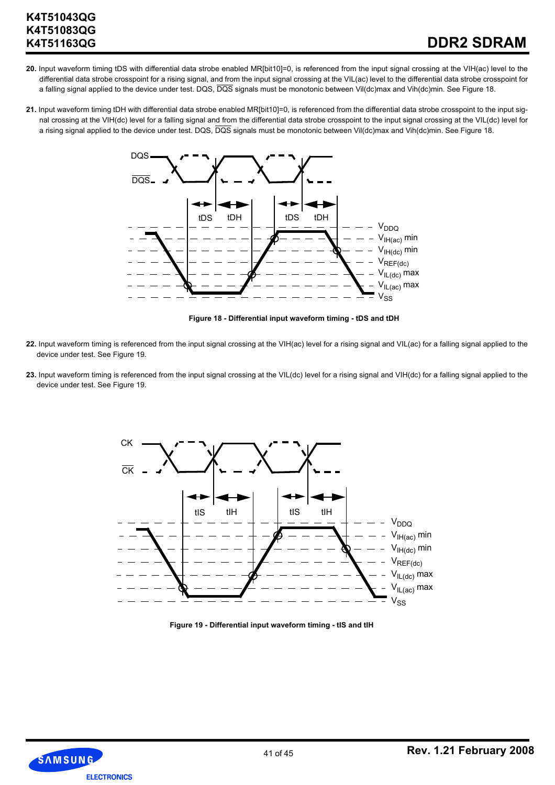- **20.** Input waveform timing tDS with differential data strobe enabled MR[bit10]=0, is referenced from the input signal crossing at the VIH(ac) level to the differential data strobe crosspoint for a rising signal, and from the input signal crossing at the VIL(ac) level to the differential data strobe crosspoint for a falling signal applied to the device under test. DQS, DQS signals must be monotonic between Vil(dc)max and Vih(dc)min. See Figure 18.
- **21.** Input waveform timing tDH with differential data strobe enabled MR[bit10]=0, is referenced from the differential data strobe crosspoint to the input signal crossing at the VIH(dc) level for a falling signal and from the differential data strobe crosspoint to the input signal crossing at the VIL(dc) level for a rising signal applied to the device under test. DQS, DQS signals must be monotonic between Vil(dc)max and Vih(dc)min. See Figure 18.



**Figure 18 - Differential input waveform timing - tDS and tDH**

- **22.** Input waveform timing is referenced from the input signal crossing at the VIH(ac) level for a rising signal and VIL(ac) for a falling signal applied to the device under test. See Figure 19.
- 23. Input waveform timing is referenced from the input signal crossing at the VIL(dc) level for a rising signal and VIH(dc) for a falling signal applied to the device under test. See Figure 19.



**Figure 19 - Differential input waveform timing - tIS and tIH**

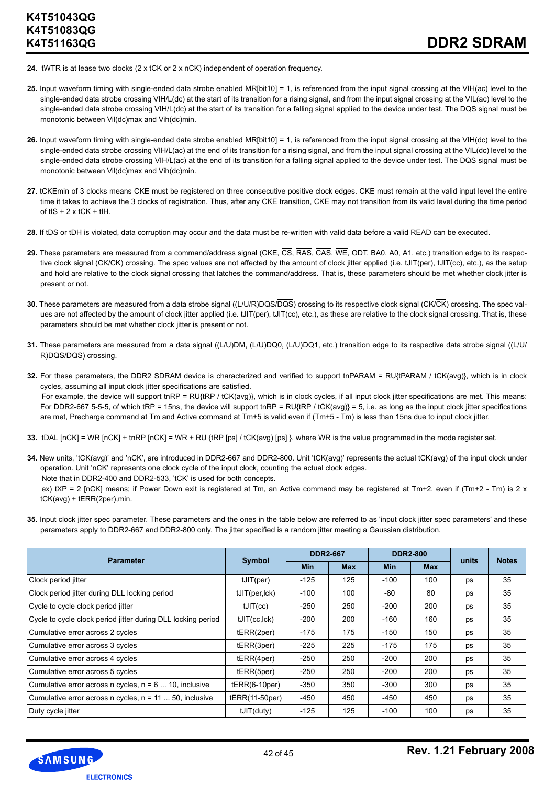- **24.** tWTR is at lease two clocks (2 x tCK or 2 x nCK) independent of operation frequency.
- **25.** Input waveform timing with single-ended data strobe enabled MR[bit10] = 1, is referenced from the input signal crossing at the VIH(ac) level to the single-ended data strobe crossing VIH/L(dc) at the start of its transition for a rising signal, and from the input signal crossing at the VIL(ac) level to the single-ended data strobe crossing VIH/L(dc) at the start of its transition for a falling signal applied to the device under test. The DQS signal must be monotonic between Vil(dc)max and Vih(dc)min.
- **26.** Input waveform timing with single-ended data strobe enabled MR[bit10] = 1, is referenced from the input signal crossing at the VIH(dc) level to the single-ended data strobe crossing VIH/L(ac) at the end of its transition for a rising signal, and from the input signal crossing at the VIL(dc) level to the single-ended data strobe crossing VIH/L(ac) at the end of its transition for a falling signal applied to the device under test. The DQS signal must be monotonic between Vil(dc)max and Vih(dc)min.
- **27.** tCKEmin of 3 clocks means CKE must be registered on three consecutive positive clock edges. CKE must remain at the valid input level the entire time it takes to achieve the 3 clocks of registration. Thus, after any CKE transition, CKE may not transition from its valid level during the time period of  $tIS + 2x$  tCK +  $tIH$ .
- **28.** If tDS or tDH is violated, data corruption may occur and the data must be re-written with valid data before a valid READ can be executed.
- 29. These parameters are measured from a command/address signal (CKE, CS, RAS, CAS, WE, ODT, BA0, A0, A1, etc.) transition edge to its respective clock signal (CK/CK) crossing. The spec values are not affected by the amount of clock jitter applied (i.e. tJIT(per), tJIT(cc), etc.), as the setup and hold are relative to the clock signal crossing that latches the command/address. That is, these parameters should be met whether clock jitter is present or not.
- **30.** These parameters are measured from a data strobe signal ((L/U/R)DQS/DQS) crossing to its respective clock signal (CK/CK) crossing. The spec values are not affected by the amount of clock jitter applied (i.e. tJIT(per), tJIT(cc), etc.), as these are relative to the clock signal crossing. That is, these parameters should be met whether clock jitter is present or not.
- **31.** These parameters are measured from a data signal ((L/U)DM, (L/U)DQ0, (L/U)DQ1, etc.) transition edge to its respective data strobe signal ((L/U/ R)DQS/DQS) crossing.
- **32.** For these parameters, the DDR2 SDRAM device is characterized and verified to support tnPARAM = RU{tPARAM / tCK(avg)}, which is in clock cycles, assuming all input clock jitter specifications are satisfied. For example, the device will support tnRP = RU{tRP / tCK(avg)}, which is in clock cycles, if all input clock jitter specifications are met. This means: For DDR2-667 5-5-5, of which tRP = 15ns, the device will support tnRP = RU{tRP / tCK(avg)} = 5, i.e. as long as the input clock jitter specifications
- **33.** tDAL [nCK] = WR [nCK] + tnRP [nCK] = WR + RU {tRP [ps] / tCK(avg) [ps] }, where WR is the value programmed in the mode register set.

are met, Precharge command at Tm and Active command at Tm+5 is valid even if (Tm+5 - Tm) is less than 15ns due to input clock jitter.

- **34.** New units, 'tCK(avg)' and 'nCK', are introduced in DDR2-667 and DDR2-800. Unit 'tCK(avg)' represents the actual tCK(avg) of the input clock under operation. Unit 'nCK' represents one clock cycle of the input clock, counting the actual clock edges.
	- Note that in DDR2-400 and DDR2-533, 'tCK' is used for both concepts.
	- ex) tXP = 2 [nCK] means; if Power Down exit is registered at Tm, an Active command may be registered at Tm+2, even if (Tm+2 Tm) is 2 x tCK(avg) + tERR(2per),min.
- **35.** Input clock jitter spec parameter. These parameters and the ones in the table below are referred to as 'input clock jitter spec parameters' and these parameters apply to DDR2-667 and DDR2-800 only. The jitter specified is a random jitter meeting a Gaussian distribution.

|                                                              | Symbol          | <b>DDR2-667</b> |            | <b>DDR2-800</b> |            |       |              |
|--------------------------------------------------------------|-----------------|-----------------|------------|-----------------|------------|-------|--------------|
| <b>Parameter</b>                                             |                 | <b>Min</b>      | <b>Max</b> | <b>Min</b>      | <b>Max</b> | units | <b>Notes</b> |
| Clock period jitter                                          | tJIT(per)       | $-125$          | 125        | $-100$          | 100        | ps    | 35           |
| Clock period jitter during DLL locking period                | tJIT(per, lck)  | $-100$          | 100        | -80             | 80         | ps    | 35           |
| Cycle to cycle clock period jitter                           | tJIT(cc)        | $-250$          | 250        | $-200$          | 200        | ps    | 35           |
| Cycle to cycle clock period jitter during DLL locking period | tJIT(cc, lck)   | $-200$          | 200        | $-160$          | 160        | ps    | 35           |
| Cumulative error across 2 cycles                             | tERR(2per)      | $-175$          | 175        | $-150$          | 150        | ps    | 35           |
| Cumulative error across 3 cycles                             | tERR(3per)      | $-225$          | 225        | $-175$          | 175        | ps    | 35           |
| Cumulative error across 4 cycles                             | tERR(4per)      | $-250$          | 250        | $-200$          | 200        | ps    | 35           |
| Cumulative error across 5 cycles                             | tERR(5per)      | $-250$          | 250        | $-200$          | 200        | ps    | 35           |
| Cumulative error across $n$ cycles, $n = 6$ 10, inclusive    | $tERR(6-10per)$ | $-350$          | 350        | $-300$          | 300        | ps    | 35           |
| Cumulative error across n cycles, n = 11  50, inclusive      | tERR(11-50per)  | $-450$          | 450        | -450            | 450        | ps    | 35           |
| Duty cycle jitter                                            | tJIT(duty)      | $-125$          | 125        | $-100$          | 100        | ps    | 35           |

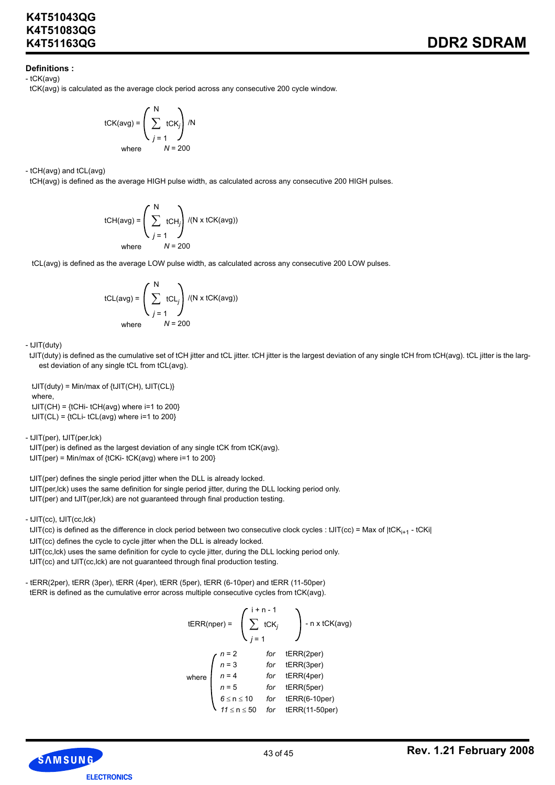### **Definitions :**

- tCK(avg)

tCK(avg) is calculated as the average clock period across any consecutive 200 cycle window.

$$
tCK(avg) = \left(\sum_{j=1}^{N} tCK_j\right) / N
$$
  
where  $N = 200$ 

- tCH(avg) and tCL(avg)

tCH(avg) is defined as the average HIGH pulse width, as calculated across any consecutive 200 HIGH pulses.

tCH(avg) = 
$$
\left(\sum_{j=1}^{N} tCH_j\right) / (N \times tCK(avg))
$$
  
where  $N = 200$ 

tCL(avg) is defined as the average LOW pulse width, as calculated across any consecutive 200 LOW pulses.

$$
tCL(avg) = \left(\sum_{j=1}^{N} tCL_j\right) / (N \times tCK(avg))
$$
  
where  $N = 200$ 

- tJIT(duty)

 tJIT(duty) is defined as the cumulative set of tCH jitter and tCL jitter. tCH jitter is the largest deviation of any single tCH from tCH(avg). tCL jitter is the largest deviation of any single tCL from tCL(avg).

 $tJIT(duty) = Min/max of {tJIT(CH), tJIT(CH)}$ where,  $tJIT(CH) = {tCHi- tCH(avg)$  where  $i=1$  to 200}  $tJIT(CL) = {tCLi-tCL(avg)}$  where  $i=1$  to 200}

- tJIT(per), tJIT(per,lck)

 tJIT(per) is defined as the largest deviation of any single tCK from tCK(avg).  $tJIT(per) = Min/max of  ${tCKi-tCK(avg)}$  where  $i=1$  to 200$ 

 tJIT(per) defines the single period jitter when the DLL is already locked. tJIT(per,lck) uses the same definition for single period jitter, during the DLL locking period only. tJIT(per) and tJIT(per,lck) are not guaranteed through final production testing.

- tJIT(cc), tJIT(cc,lck)

tJIT(cc) is defined as the difference in clock period between two consecutive clock cycles : tJIT(cc) = Max of  $|tCK_{i+1} - tCK_i|$  tJIT(cc) defines the cycle to cycle jitter when the DLL is already locked. tJIT(cc,lck) uses the same definition for cycle to cycle jitter, during the DLL locking period only. tJIT(cc) and tJIT(cc,lck) are not guaranteed through final production testing.

- tERR(2per), tERR (3per), tERR (4per), tERR (5per), tERR (6-10per) and tERR (11-50per) tERR is defined as the cumulative error across multiple consecutive cycles from tCK(avg).

tERR(nper) =

\n
$$
\begin{pmatrix}\n i + n - 1 \\
\sum_{j=1}^{n} tCK_j\n \end{pmatrix}\n - n \times tCK(avg)
$$
\nwhere

\n
$$
\begin{pmatrix}\n n = 2 & \text{for} \quad tERR(2per) \\
n = 3 & \text{for} \quad tERR(3per) \\
n = 4 & \text{for} \quad tERR(4per) \\
n = 5 & \text{for} \quad tERR(5per) \\
6 \leq n \leq 10 & \text{for} \quad tERR(6-10per) \\
11 \leq n \leq 50 & \text{for} \quad tERR(11-50per)\n \end{pmatrix}
$$

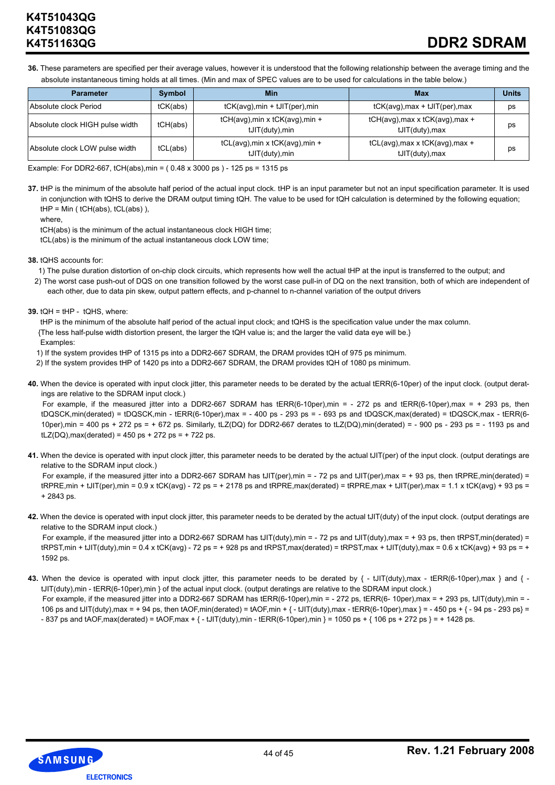# **DDR2 SDRAM**

**36.** These parameters are specified per their average values, however it is understood that the following relationship between the average timing and the absolute instantaneous timing holds at all times. (Min and max of SPEC values are to be used for calculations in the table below.)

| <b>Parameter</b>                | Symbol   | Min                                                   | Max                                                      | <b>Units</b> |
|---------------------------------|----------|-------------------------------------------------------|----------------------------------------------------------|--------------|
| Absolute clock Period           | tCK(abs) | $tCK(\text{avg})$ , min + $tJIT(\text{per})$ , min    | $tCK(\text{avg})$ , max + $tJIT(\text{per})$ , max       | ps           |
| Absolute clock HIGH pulse width | tCH(abs) | tCH(avg), min x tCK(avg), min +<br>tJIT(duty),min     | tCH(avg), max x tCK(avg), max +<br>tJIT(duty), max       | ps           |
| Absolute clock LOW pulse width  | tCL(abs) | tCL(avg), min x tCK(avg), min +<br>$tJIT(duty)$ , min | $tCL(avg)$ , max x $tCK(avg)$ , max +<br>tJIT(duty), max | ps           |

Example: For DDR2-667, tCH(abs),min = ( 0.48 x 3000 ps ) - 125 ps = 1315 ps

**37.** tHP is the minimum of the absolute half period of the actual input clock. tHP is an input parameter but not an input specification parameter. It is used in conjunction with tQHS to derive the DRAM output timing tQH. The value to be used for tQH calculation is determined by the following equation;  $tHP = Min ( tCH(abs), tCL(abs)$ ,

where,

 tCH(abs) is the minimum of the actual instantaneous clock HIGH time; tCL(abs) is the minimum of the actual instantaneous clock LOW time;

**38.** tQHS accounts for:

- 1) The pulse duration distortion of on-chip clock circuits, which represents how well the actual tHP at the input is transferred to the output; and
- 2) The worst case push-out of DQS on one transition followed by the worst case pull-in of DQ on the next transition, both of which are independent of each other, due to data pin skew, output pattern effects, and p-channel to n-channel variation of the output drivers
- **39.** tQH = tHP tQHS, where:

tHP is the minimum of the absolute half period of the actual input clock; and tQHS is the specification value under the max column. {The less half-pulse width distortion present, the larger the tQH value is; and the larger the valid data eye will be.} Examples:

1) If the system provides tHP of 1315 ps into a DDR2-667 SDRAM, the DRAM provides tQH of 975 ps minimum.

- 2) If the system provides tHP of 1420 ps into a DDR2-667 SDRAM, the DRAM provides tQH of 1080 ps minimum.
- **40.** When the device is operated with input clock jitter, this parameter needs to be derated by the actual tERR(6-10per) of the input clock. (output deratings are relative to the SDRAM input clock.)

For example, if the measured jitter into a DDR2-667 SDRAM has tERR(6-10per),min = - 272 ps and tERR(6-10per),max = + 293 ps, then tDQSCK,min(derated) = tDQSCK,min - tERR(6-10per),max = - 400 ps - 293 ps = - 693 ps and tDQSCK,max(derated) = tDQSCK,max - tERR(6- 10per),min = 400 ps + 272 ps = + 672 ps. Similarly, tLZ(DQ) for DDR2-667 derates to tLZ(DQ),min(derated) = - 900 ps - 293 ps = - 1193 ps and  $tLZ(DQ)$ , max(derated) = 450 ps + 272 ps = + 722 ps.

**41.** When the device is operated with input clock jitter, this parameter needs to be derated by the actual tJIT(per) of the input clock. (output deratings are relative to the SDRAM input clock.)

For example, if the measured jitter into a DDR2-667 SDRAM has tJIT(per),min = - 72 ps and tJIT(per),max = + 93 ps, then tRPRE,min(derated) =  $tRPRE,min + tJIT(per),min = 0.9 \times tCK(avg) - 72 ps = + 2178 ps and tRPRE,max(derated) = tRPRE,max + tJIT(per),max = 1.1 \times tCK(avg) + 93 ps =$ + 2843 ps.

**42.** When the device is operated with input clock jitter, this parameter needs to be derated by the actual tJIT(duty) of the input clock. (output deratings are relative to the SDRAM input clock.)

For example, if the measured jitter into a DDR2-667 SDRAM has tJIT(duty),min = - 72 ps and tJIT(duty),max = + 93 ps, then tRPST,min(derated) =  $t$ RPST,min + tJIT(duty),min = 0.4 x tCK(avg) - 72 ps = + 928 ps and tRPST,max(derated) = tRPST,max + tJIT(duty),max = 0.6 x tCK(avg) + 93 ps = + 1592 ps.

43. When the device is operated with input clock jitter, this parameter needs to be derated by  $\{-t\sqrt{d}u(t)\}$ ,  $\frac{dt}{dt}$  = ERR(6-10per), max  $\{-t\sqrt{d}u(t)\}$ tJIT(duty),min - tERR(6-10per),min } of the actual input clock. (output deratings are relative to the SDRAM input clock.) For example, if the measured jitter into a DDR2-667 SDRAM has tERR(6-10per),min = - 272 ps, tERR(6-10per),max = + 293 ps, tJIT(duty),min = -106 ps and tJIT(duty),max = + 94 ps, then tAOF,min(derated) = tAOF,min +  $\{-$  tJIT(duty),max - tERR(6-10per),max  $\}$  = - 450 ps +  $\{-$  94 ps - 293 ps} =

 $-837$  ps and tAOF, max(derated) = tAOF, max +  $\{-1$ , tJIT(duty), min  $\{-1050 \text{ ps} + 1050 \text{ ps} + 106 \text{ ps} + 272 \text{ ps} \} = +1428 \text{ ps}$ .